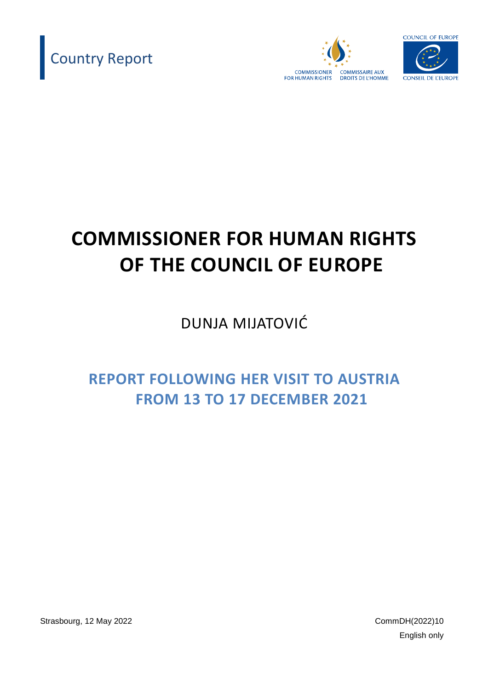





# **COMMISSIONER FOR HUMAN RIGHTS OF THE COUNCIL OF EUROPE**

DUNJA MIJATOVIĆ

**REPORT FOLLOWING HER VISIT TO AUSTRIA FROM 13 TO 17 DECEMBER 2021**

Strasbourg, 12 May 2022 CommDH(2022)10

English only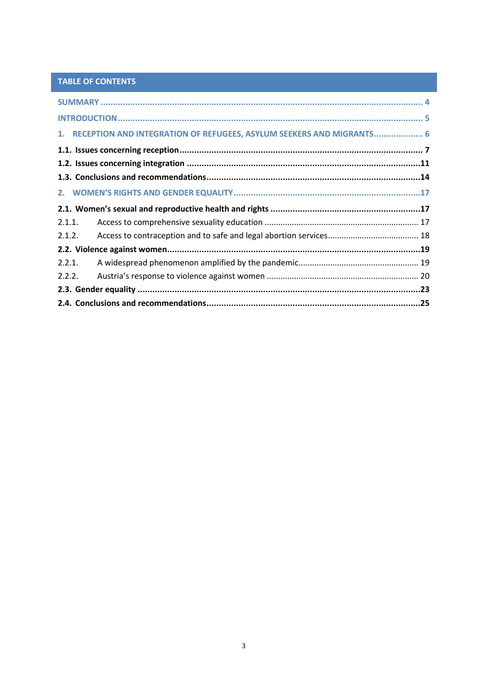# TABLE OF CONTENTS

| 1. RECEPTION AND INTEGRATION OF REFUGEES, ASYLUM SEEKERS AND MIGRANTS 6 |  |
|-------------------------------------------------------------------------|--|
|                                                                         |  |
|                                                                         |  |
|                                                                         |  |
|                                                                         |  |
|                                                                         |  |
| 2.1.1.                                                                  |  |
| 2.1.2.                                                                  |  |
|                                                                         |  |
| 2.2.1.                                                                  |  |
| 2.2.2.                                                                  |  |
|                                                                         |  |
|                                                                         |  |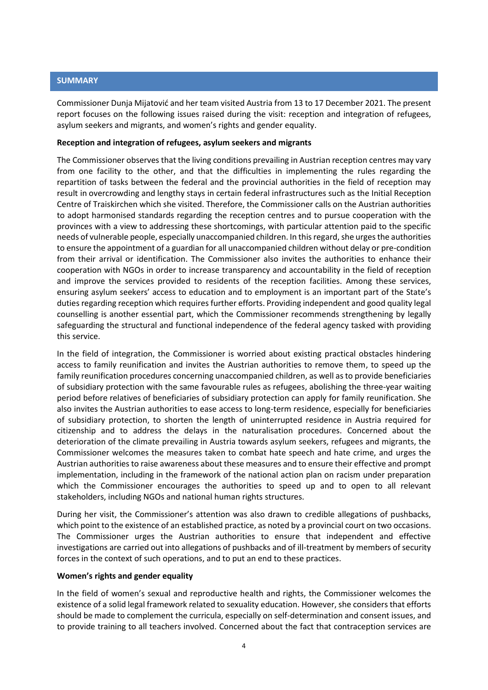#### <span id="page-3-0"></span>**SUMMARY**

Commissioner Dunja Mijatović and her team visited Austria from 13 to 17 December 2021. The present report focuses on the following issues raised during the visit: reception and integration of refugees, asylum seekers and migrants, and women's rights and gender equality.

#### **Reception and integration of refugees, asylum seekers and migrants**

The Commissioner observes that the living conditions prevailing in Austrian reception centres may vary from one facility to the other, and that the difficulties in implementing the rules regarding the repartition of tasks between the federal and the provincial authorities in the field of reception may result in overcrowding and lengthy stays in certain federal infrastructures such as the Initial Reception Centre of Traiskirchen which she visited. Therefore, the Commissioner calls on the Austrian authorities to adopt harmonised standards regarding the reception centres and to pursue cooperation with the provinces with a view to addressing these shortcomings, with particular attention paid to the specific needs of vulnerable people, especially unaccompanied children. In this regard, she urges the authorities to ensure the appointment of a guardian for all unaccompanied children without delay or pre-condition from their arrival or identification. The Commissioner also invites the authorities to enhance their cooperation with NGOs in order to increase transparency and accountability in the field of reception and improve the services provided to residents of the reception facilities. Among these services, ensuring asylum seekers' access to education and to employment is an important part of the State's duties regarding reception which requires further efforts. Providing independent and good quality legal counselling is another essential part, which the Commissioner recommends strengthening by legally safeguarding the structural and functional independence of the federal agency tasked with providing this service.

In the field of integration, the Commissioner is worried about existing practical obstacles hindering access to family reunification and invites the Austrian authorities to remove them, to speed up the family reunification procedures concerning unaccompanied children, as well as to provide beneficiaries of subsidiary protection with the same favourable rules as refugees, abolishing the three-year waiting period before relatives of beneficiaries of subsidiary protection can apply for family reunification. She also invites the Austrian authorities to ease access to long-term residence, especially for beneficiaries of subsidiary protection, to shorten the length of uninterrupted residence in Austria required for citizenship and to address the delays in the naturalisation procedures. Concerned about the deterioration of the climate prevailing in Austria towards asylum seekers, refugees and migrants, the Commissioner welcomes the measures taken to combat hate speech and hate crime, and urges the Austrian authorities to raise awareness about these measures and to ensure their effective and prompt implementation, including in the framework of the national action plan on racism under preparation which the Commissioner encourages the authorities to speed up and to open to all relevant stakeholders, including NGOs and national human rights structures.

During her visit, the Commissioner's attention was also drawn to credible allegations of pushbacks, which point to the existence of an established practice, as noted by a provincial court on two occasions. The Commissioner urges the Austrian authorities to ensure that independent and effective investigations are carried out into allegations of pushbacks and of ill-treatment by members of security forces in the context of such operations, and to put an end to these practices.

#### **Women's rights and gender equality**

In the field of women's sexual and reproductive health and rights, the Commissioner welcomes the existence of a solid legal framework related to sexuality education. However, she considers that efforts should be made to complement the curricula, especially on self-determination and consent issues, and to provide training to all teachers involved. Concerned about the fact that contraception services are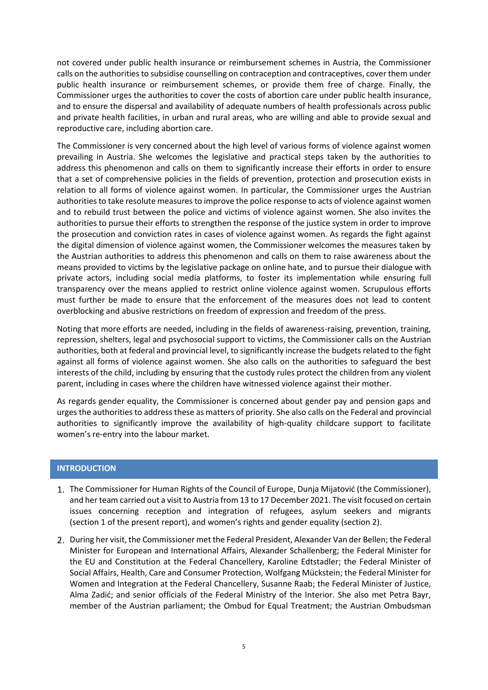not covered under public health insurance or reimbursement schemes in Austria, the Commissioner calls on the authorities to subsidise counselling on contraception and contraceptives, cover them under public health insurance or reimbursement schemes, or provide them free of charge. Finally, the Commissioner urges the authorities to cover the costs of abortion care under public health insurance, and to ensure the dispersal and availability of adequate numbers of health professionals across public and private health facilities, in urban and rural areas, who are willing and able to provide sexual and reproductive care, including abortion care.

The Commissioner is very concerned about the high level of various forms of violence against women prevailing in Austria. She welcomes the legislative and practical steps taken by the authorities to address this phenomenon and calls on them to significantly increase their efforts in order to ensure that a set of comprehensive policies in the fields of prevention, protection and prosecution exists in relation to all forms of violence against women. In particular, the Commissioner urges the Austrian authorities to take resolute measures to improve the police response to acts of violence against women and to rebuild trust between the police and victims of violence against women. She also invites the authorities to pursue their efforts to strengthen the response of the justice system in order to improve the prosecution and conviction rates in cases of violence against women. As regards the fight against the digital dimension of violence against women, the Commissioner welcomes the measures taken by the Austrian authorities to address this phenomenon and calls on them to raise awareness about the means provided to victims by the legislative package on online hate, and to pursue their dialogue with private actors, including social media platforms, to foster its implementation while ensuring full transparency over the means applied to restrict online violence against women. Scrupulous efforts must further be made to ensure that the enforcement of the measures does not lead to content overblocking and abusive restrictions on freedom of expression and freedom of the press.

Noting that more efforts are needed, including in the fields of awareness-raising, prevention, training, repression, shelters, legal and psychosocial support to victims, the Commissioner calls on the Austrian authorities, both at federal and provincial level, to significantly increase the budgets related to the fight against all forms of violence against women. She also calls on the authorities to safeguard the best interests of the child, including by ensuring that the custody rules protect the children from any violent parent, including in cases where the children have witnessed violence against their mother.

As regards gender equality, the Commissioner is concerned about gender pay and pension gaps and urges the authorities to address these as matters of priority. She also calls on the Federal and provincial authorities to significantly improve the availability of high-quality childcare support to facilitate women's re-entry into the labour market.

# <span id="page-4-0"></span>**INTRODUCTION**

- The Commissioner for Human Rights of the Council of Europe, Dunja Mijatović (the Commissioner), and her team carried out a visit to Austria from 13 to 17 December 2021. The visit focused on certain issues concerning reception and integration of refugees, asylum seekers and migrants (section 1 of the present report), and women's rights and gender equality (section 2).
- 2. During her visit, the Commissioner met the Federal President, Alexander Van der Bellen; the Federal Minister for European and International Affairs, Alexander Schallenberg; the Federal Minister for the EU and Constitution at the Federal Chancellery, Karoline Edtstadler; the Federal Minister of Social Affairs, Health, Care and Consumer Protection, Wolfgang Mückstein; the Federal Minister for Women and Integration at the Federal Chancellery, Susanne Raab; the Federal Minister of Justice, Alma Zadić; and senior officials of the Federal Ministry of the Interior. She also met Petra Bayr, member of the Austrian parliament; the Ombud for Equal Treatment; the Austrian Ombudsman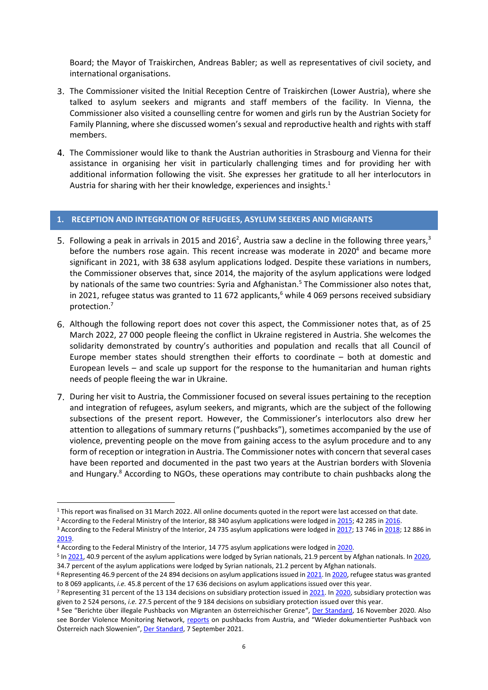Board; the Mayor of Traiskirchen, Andreas Babler; as well as representatives of civil society, and international organisations.

- The Commissioner visited the Initial Reception Centre of Traiskirchen (Lower Austria), where she talked to asylum seekers and migrants and staff members of the facility. In Vienna, the Commissioner also visited a counselling centre for women and girls run by the Austrian Society for Family Planning, where she discussed women's sexual and reproductive health and rights with staff members.
- The Commissioner would like to thank the Austrian authorities in Strasbourg and Vienna for their assistance in organising her visit in particularly challenging times and for providing her with additional information following the visit. She expresses her gratitude to all her interlocutors in Austria for sharing with her their knowledge, experiences and insights.<sup>1</sup>

#### <span id="page-5-0"></span>**1. RECEPTION AND INTEGRATION OF REFUGEES, ASYLUM SEEKERS AND MIGRANTS**

- Following a peak in arrivals in 2015 and 2016<sup>2</sup>, Austria saw a decline in the following three years,<sup>3</sup> before the numbers rose again. This recent increase was moderate in  $2020<sup>4</sup>$  and became more significant in 2021, with 38 638 asylum applications lodged. Despite these variations in numbers, the Commissioner observes that, since 2014, the majority of the asylum applications were lodged by nationals of the same two countries: Syria and Afghanistan.<sup>5</sup> The Commissioner also notes that, in 2021, refugee status was granted to 11 672 applicants,<sup>6</sup> while 4 069 persons received subsidiary protection. 7
- Although the following report does not cover this aspect, the Commissioner notes that, as of 25 March 2022, 27 000 people fleeing the conflict in Ukraine registered in Austria. She welcomes the solidarity demonstrated by country's authorities and population and recalls that all Council of Europe member states should strengthen their efforts to coordinate – both at domestic and European levels – and scale up support for the response to the humanitarian and human rights needs of people fleeing the war in Ukraine.
- 7. During her visit to Austria, the Commissioner focused on several issues pertaining to the reception and integration of refugees, asylum seekers, and migrants, which are the subject of the following subsections of the present report. However, the Commissioner's interlocutors also drew her attention to allegations of summary returns ("pushbacks"), sometimes accompanied by the use of violence, preventing people on the move from gaining access to the asylum procedure and to any form of reception or integration in Austria. The Commissioner notes with concern that several cases have been reported and documented in the past two years at the Austrian borders with Slovenia and Hungary.<sup>8</sup> According to NGOs, these operations may contribute to chain pushbacks along the

<sup>&</sup>lt;sup>1</sup> This report was finalised on 31 March 2022. All online documents quoted in the report were last accessed on that date.

<sup>&</sup>lt;sup>2</sup> According to the Federal Ministry of the Interior, 88 340 asylum applications were lodged in [2015;](https://www.bmi.gv.at/301/Statistiken/files/Jahresstatistiken/Asyl_Jahresstatistik_2015.pdf) 42 285 i[n 2016.](https://www.bmi.gv.at/301/Statistiken/files/Jahresstatistiken/Jahresstatistik_Asyl_2016.pdf)

<sup>&</sup>lt;sup>3</sup> According to the Federal Ministry of the Interior, 24 735 asylum applications were lodged in [2017;](https://www.bmi.gv.at/301/Statistiken/files/Jahresstatistiken/Asyl-Jahresstatistik_2017.pdf) 13 746 i[n 2018;](https://www.bmi.gv.at/301/Statistiken/files/Jahresstatistiken/Asyl-Jahresstatistik_2018.pdf) 12 886 in [2019.](https://www.bmi.gv.at/301/Statistiken/files/Jahresstatistiken/Asyl-Jahresstatistik_2019.pdf)

<sup>4</sup> According to the Federal Ministry of the Interior, 14 775 asylum applications were lodged in [2020.](https://www.bmi.gv.at/301/Statistiken/start.aspx#pk_2020)

<sup>&</sup>lt;sup>5</sup> I[n 2021,](https://www.bmi.gv.at/301/Statistiken/files/2021/Asylstatistik_Dezember_2021.pdf) 40.9 percent of the asylum applications were lodged by Syrian nationals, 21.9 percent by Afghan nationals. In 2020, 34.7 percent of the asylum applications were lodged by Syrian nationals, 21.2 percent by Afghan nationals.

<sup>6</sup> Representing 46.9 percent of the 24 894 decisions on asylum applications issued i[n 2021.](https://www.bmi.gv.at/301/Statistiken/files/2021/Asylstatistik_Dezember_2021.pdf) I[n 2020,](https://www.bmi.gv.at/301/Statistiken/start.aspx#pk_2020) refugee status was granted to 8 069 applicants, *i.e.* 45.8 percent of the 17 636 decisions on asylum applications issued over this year.

<sup>&</sup>lt;sup>7</sup> Representing 31 percent of the 13 134 decisions on subsidiary protection issued in [2021.](https://www.bmi.gv.at/301/Statistiken/files/2021/Asylstatistik_Dezember_2021.pdf) I[n 2020,](https://www.bmi.gv.at/301/Statistiken/start.aspx#pk_2020) subsidiary protection was given to 2 524 persons, *i.e.* 27.5 percent of the 9 184 decisions on subsidiary protection issued over this year.

<sup>&</sup>lt;sup>8</sup> See "Berichte über illegale Pushbacks von Migranten an österreichischer Grenze", [Der Standard,](https://www.derstandard.at/story/2000121752241/berichte-ueber-illegale-pushbacks-von-migranten-an-oesterreichischer-grenze) 16 November 2020. Also see Border Violence Monitoring Network, [reports](https://www.borderviolence.eu/?s=austria) on pushbacks from Austria, and "Wieder dokumentierter Pushback von Österreich nach Slowenien", [Der Standard,](https://www.derstandard.at/story/2000129452340/wieder-dokumentierter-pushback-von-oesterreich-nach-slowenien?ref=article) 7 September 2021.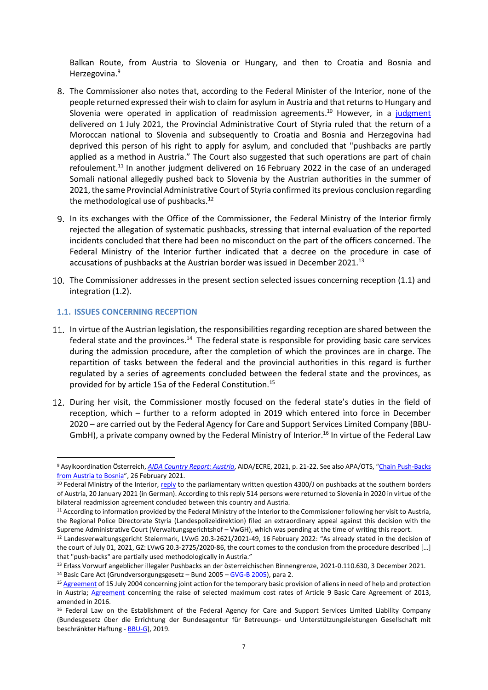Balkan Route, from Austria to Slovenia or Hungary, and then to Croatia and Bosnia and Herzegovina. 9

- <span id="page-6-2"></span>The Commissioner also notes that, according to the Federal Minister of the Interior, none of the people returned expressed their wish to claim for asylum in Austria and that returns to Hungary and Slovenia were operated in application of readmission agreements.<sup>10</sup> However, in a [judgment](https://www.asyl.at/files/514/3_000686_jv_sig_xx.pdf) delivered on 1 July 2021, the Provincial Administrative Court of Styria ruled that the return of a Moroccan national to Slovenia and subsequently to Croatia and Bosnia and Herzegovina had deprived this person of his right to apply for asylum, and concluded that "pushbacks are partly applied as a method in Austria." The Court also suggested that such operations are part of chain refoulement.<sup>11</sup> In another judgment delivered on 16 February 2022 in the case of an underaged Somali national allegedly pushed back to Slovenia by the Austrian authorities in the summer of 2021, the same Provincial Administrative Court of Styria confirmed its previous conclusion regarding the methodological use of pushbacks.<sup>12</sup>
- 9. In its exchanges with the Office of the Commissioner, the Federal Ministry of the Interior firmly rejected the allegation of systematic pushbacks, stressing that internal evaluation of the reported incidents concluded that there had been no misconduct on the part of the officers concerned. The Federal Ministry of the Interior further indicated that a decree on the procedure in case of accusations of pushbacks at the Austrian border was issued in December 2021.<sup>13</sup>
- 10. The Commissioner addresses in the present section selected issues concerning reception (1.1) and integration (1.2).

#### <span id="page-6-0"></span>**1.1. ISSUES CONCERNING RECEPTION**

- <span id="page-6-1"></span>11. In virtue of the Austrian legislation, the responsibilities regarding reception are shared between the federal state and the provinces.<sup>14</sup> The federal state is responsible for providing basic care services during the admission procedure, after the completion of which the provinces are in charge. The repartition of tasks between the federal and the provincial authorities in this regard is further regulated by a series of agreements concluded between the federal state and the provinces, as provided for by article 15a of the Federal Constitution.<sup>15</sup>
- 12. During her visit, the Commissioner mostly focused on the federal state's duties in the field of reception, which – further to a reform adopted in 2019 which entered into force in December 2020 – are carried out by the Federal Agency for Care and Support Services Limited Company (BBU-GmbH), a private company owned by the Federal Ministry of Interior.<sup>16</sup> In virtue of the Federal Law

<sup>9</sup> Asylkoordination Österreich, *[AIDA Country Report:](https://asylumineurope.org/wp-content/uploads/2021/04/AIDA-AT_2020update.pdf) Austria*, AIDA/ECRE, 2021, p. 21-22. See also APA/OTS, "[Chain Push-Backs](https://www.ots.at/presseaussendung/OTE_20210226_OTE0003/chain-push-backs-from-austria-to-bosnia)  [from Austria to Bosnia](https://www.ots.at/presseaussendung/OTE_20210226_OTE0003/chain-push-backs-from-austria-to-bosnia)", 26 February 2021.

<sup>&</sup>lt;sup>10</sup> Federal Ministry of the Interior, [reply](https://www.parlament.gv.at/PAKT/VHG/XXVII/AB/AB_04277/imfname_879547.pdf) to the parliamentary written question 4300/J on pushbacks at the southern borders of Austria, 20 January 2021 (in German). According to this reply 514 persons were returned to Slovenia in 2020 in virtue of the bilateral readmission agreement concluded between this country and Austria.

<sup>11</sup> According to information provided by the Federal Ministry of the Interior to the Commissioner following her visit to Austria, the Regional Police Directorate Styria (Landespolizeidirektion) filed an extraordinary appeal against this decision with the Supreme Administrative Court (Verwaltungsgerichtshof – VwGH), which was pending at the time of writing this report.

<sup>12</sup> Landesverwaltungsgericht Steiermark, LVwG 20.3-2621/2021-49, 16 February 2022: "As already stated in the decision of the court of July 01, 2021, GZ: LVwG 20.3-2725/2020-86, the court comes to the conclusion from the procedure described […] that "push-backs" are partially used methodologically in Austria."

<sup>13</sup> Erlass Vorwurf angeblicher illegaler Pushbacks an der österreichischen Binnengrenze, 2021-0.110.630, 3 December 2021. <sup>14</sup> Basic Care Act (Grundversorgungsgesetz – Bund 2005 – [GVG-B 2005\)](https://www.ris.bka.gv.at/GeltendeFassung.wxe?Abfrage=Bundesnormen&Gesetzesnummer=10005762&ShowPrintPreview=True), para 2.

<sup>&</sup>lt;sup>15</sup> [Agreement](https://www.ris.bka.gv.at/GeltendeFassung.wxe?Abfrage=Bundesnormen&Gesetzesnummer=20003460) of 15 July 2004 concerning joint action for the temporary basic provision of aliens in need of help and protection in Austria; **Agreement** concerning the raise of selected maximum cost rates of Article 9 Basic Care [Agreement](https://www.ris.bka.gv.at/GeltendeFassung.wxe?Abfrage=Bundesnormen&Gesetzesnummer=10005762&ShowPrintPreview=True) of 2013, amended in 2016.

<sup>&</sup>lt;sup>16</sup> Federal Law on the Establishment of the Federal Agency for Care and Support Services Limited Liability Company (Bundesgesetz über die Errichtung der Bundesagentur für Betreuungs- und Unterstützungsleistungen Gesellschaft mit beschränkter Haftung - [BBU-G\)](https://www.ris.bka.gv.at/GeltendeFassung.wxe?Abfrage=Bundesnormen&Gesetzesnummer=20010683), 2019.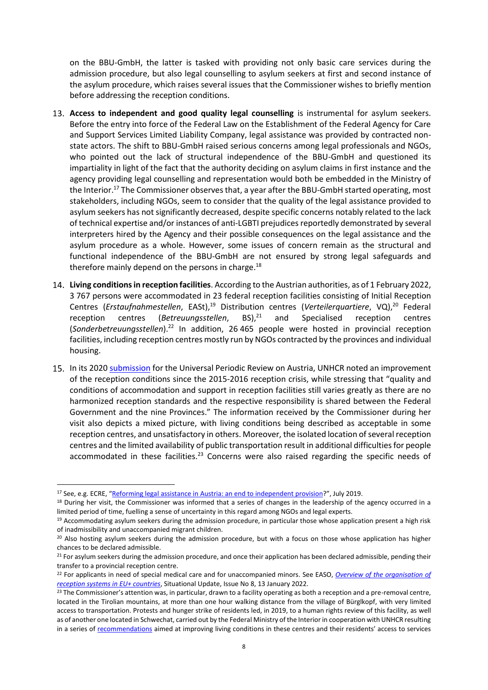on the BBU-GmbH, the latter is tasked with providing not only basic care services during the admission procedure, but also legal counselling to asylum seekers at first and second instance of the asylum procedure, which raises several issues that the Commissioner wishes to briefly mention before addressing the reception conditions.

- **Access to independent and good quality legal counselling** is instrumental for asylum seekers. Before the entry into force of the Federal Law on the Establishment of the Federal Agency for Care and Support Services Limited Liability Company, legal assistance was provided by contracted nonstate actors. The shift to BBU-GmbH raised serious concerns among legal professionals and NGOs, who pointed out the lack of structural independence of the BBU-GmbH and questioned its impartiality in light of the fact that the authority deciding on asylum claims in first instance and the agency providing legal counselling and representation would both be embedded in the Ministry of the Interior.<sup>17</sup> The Commissioner observes that, a year after the BBU-GmbH started operating, most stakeholders, including NGOs, seem to consider that the quality of the legal assistance provided to asylum seekers has not significantly decreased, despite specific concerns notably related to the lack of technical expertise and/or instances of anti-LGBTI prejudices reportedly demonstrated by several interpreters hired by the Agency and their possible consequences on the legal assistance and the asylum procedure as a whole. However, some issues of concern remain as the structural and functional independence of the BBU-GmbH are not ensured by strong legal safeguards and therefore mainly depend on the persons in charge. $^{18}$
- **Living conditions in reception facilities**. According to the Austrian authorities, as of 1 February 2022, 3 767 persons were accommodated in 23 federal reception facilities consisting of Initial Reception Centres (*Erstaufnahmestellen*, EASt), <sup>19</sup> Distribution centres (*Verteilerquartiere*, VQ), <sup>20</sup> Federal reception centres (*Betreuungsstellen*, BS), and Specialised reception centres (*Sonderbetreuungsstellen*). <sup>22</sup> In addition, 26 465 people were hosted in provincial reception facilities, including reception centres mostly run by NGOs contracted by the provinces and individual housing.
- 15. In its 2020 [submission](https://www.refworld.org/pdfid/60775fa94.pdf) for the Universal Periodic Review on Austria, UNHCR noted an improvement of the reception conditions since the 2015-2016 reception crisis, while stressing that "quality and conditions of accommodation and support in reception facilities still varies greatly as there are no harmonized reception standards and the respective responsibility is shared between the Federal Government and the nine Provinces." The information received by the Commissioner during her visit also depicts a mixed picture, with living conditions being described as acceptable in some reception centres, and unsatisfactory in others. Moreover, the isolated location of several reception centres and the limited availability of public transportation result in additional difficulties for people accommodated in these facilities.<sup>23</sup> Concerns were also raised regarding the specific needs of

<sup>&</sup>lt;sup>17</sup> See, e.g. ECRE, "[Reforming legal assistance in Austria: an end to independent provision](https://www.google.fr/url?sa=t&rct=j&q=&esrc=s&source=web&cd=&ved=2ahUKEwj-1J2Yt572AhVmiP0HHdlmAEIQFnoECBEQAQ&url=https%3A%2F%2Fecre.org%2Fwp-content%2Fuploads%2F2019%2F07%2FLegal-Note-5.pdf&usg=AOvVaw0OnTV6A2QG7FIX3JW2xc7s)?", July 2019.

<sup>&</sup>lt;sup>18</sup> During her visit, the Commissioner was informed that a series of changes in the leadership of the agency occurred in a limited period of time, fuelling a sense of uncertainty in this regard among NGOs and legal experts.

<sup>&</sup>lt;sup>19</sup> Accommodating asylum seekers during the admission procedure, in particular those whose application present a high risk of inadmissibility and unaccompanied migrant children.

<sup>&</sup>lt;sup>20</sup> Also hosting asylum seekers during the admission procedure, but with a focus on those whose application has higher chances to be declared admissible.

 $21$  For asylum seekers during the admission procedure, and once their application has been declared admissible, pending their transfer to a provincial reception centre.

<sup>22</sup> For applicants in need of special medical care and for unaccompanied minors. See EASO, *[Overview of the organisation of](https://www.google.fr/url?sa=t&rct=j&q=&esrc=s&source=web&cd=&ved=2ahUKEwjIw8_4w6P2AhUcQvEDHZ6sDPcQFnoECFcQAQ&url=https%3A%2F%2Feuaa.europa.eu%2Fsites%2Fdefault%2Ffiles%2Fpublications%2F2022-01%2F2021_situational_update_issue8_reception_systems_EN_0.pdf&usg=AOvVaw2VaswlywSQFsU8luIWG8EZ)  [reception systems in EU+ countries](https://www.google.fr/url?sa=t&rct=j&q=&esrc=s&source=web&cd=&ved=2ahUKEwjIw8_4w6P2AhUcQvEDHZ6sDPcQFnoECFcQAQ&url=https%3A%2F%2Feuaa.europa.eu%2Fsites%2Fdefault%2Ffiles%2Fpublications%2F2022-01%2F2021_situational_update_issue8_reception_systems_EN_0.pdf&usg=AOvVaw2VaswlywSQFsU8luIWG8EZ)*, Situational Update, Issue No 8, 13 January 2022.

<sup>&</sup>lt;sup>23</sup> The Commissioner's attention was, in particular, drawn to a facility operating as both a reception and a pre-removal centre, located in the Tirolian mountains, at more than one hour walking distance from the village of Bürglkopf, with very limited access to transportation. Protests and hunger strike of residents led, in 2019, to a human rights review of this facility, as well as of another one located in Schwechat, carried out by the Federal Ministry of the Interior in cooperation with UNHCR resulting in a series of [recommendations](https://www.parlament.gv.at/PAKT/VHG/XXVII/AB/AB_03339/index.shtml) aimed at improving living conditions in these centres and their residents' access to services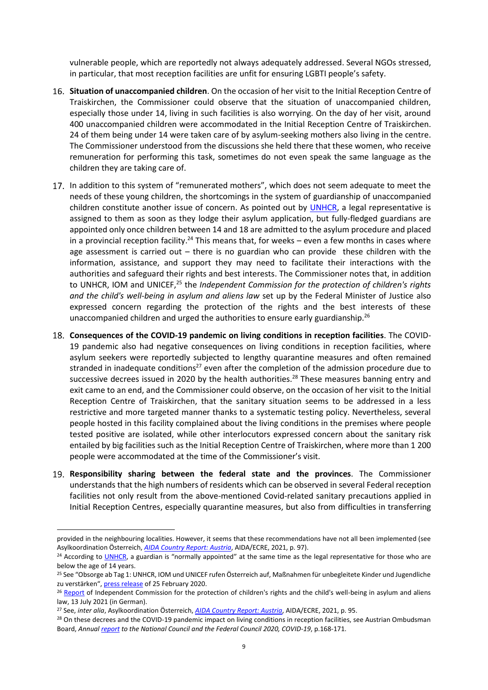vulnerable people, which are reportedly not always adequately addressed. Several NGOs stressed, in particular, that most reception facilities are unfit for ensuring LGBTI people's safety.

- **Situation of unaccompanied children**. On the occasion of her visit to the Initial Reception Centre of Traiskirchen, the Commissioner could observe that the situation of unaccompanied children, especially those under 14, living in such facilities is also worrying. On the day of her visit, around 400 unaccompanied children were accommodated in the Initial Reception Centre of Traiskirchen. 24 of them being under 14 were taken care of by asylum-seeking mothers also living in the centre. The Commissioner understood from the discussions she held there that these women, who receive remuneration for performing this task, sometimes do not even speak the same language as the children they are taking care of.
- 17. In addition to this system of "remunerated mothers", which does not seem adequate to meet the needs of these young children, the shortcomings in the system of guardianship of unaccompanied children constitute another issue of concern. As pointed out by [UNHCR,](https://www.refworld.org/pdfid/60775fa94.pdf) a legal representative is assigned to them as soon as they lodge their asylum application, but fully-fledged guardians are appointed only once children between 14 and 18 are admitted to the asylum procedure and placed in a provincial reception facility.<sup>24</sup> This means that, for weeks  $-$  even a few months in cases where age assessment is carried out  $-$  there is no guardian who can provide these children with the information, assistance, and support they may need to facilitate their interactions with the authorities and safeguard their rights and best interests. The Commissioner notes that, in addition to UNHCR, IOM and UNICEF,<sup>25</sup> the *Independent Commission for the protection of children's rights and the child's well-being in asylum and aliens law* set up by the Federal Minister of Justice also expressed concern regarding the protection of the rights and the best interests of these unaccompanied children and urged the authorities to ensure early guardianship.<sup>26</sup>
- **Consequences of the COVID-19 pandemic on living conditions in reception facilities**. The COVID-19 pandemic also had negative consequences on living conditions in reception facilities, where asylum seekers were reportedly subjected to lengthy quarantine measures and often remained stranded in inadequate conditions<sup>27</sup> even after the completion of the admission procedure due to successive decrees issued in 2020 by the health authorities.<sup>28</sup> These measures banning entry and exit came to an end, and the Commissioner could observe, on the occasion of her visit to the Initial Reception Centre of Traiskirchen, that the sanitary situation seems to be addressed in a less restrictive and more targeted manner thanks to a systematic testing policy. Nevertheless, several people hosted in this facility complained about the living conditions in the premises where people tested positive are isolated, while other interlocutors expressed concern about the sanitary risk entailed by big facilities such as the Initial Reception Centre of Traiskirchen, where more than 1 200 people were accommodated at the time of the Commissioner's visit.
- <span id="page-8-0"></span>**Responsibility sharing between the federal state and the provinces**. The Commissioner understands that the high numbers of residents which can be observed in several Federal reception facilities not only result from the above-mentioned Covid-related sanitary precautions applied in Initial Reception Centres, especially quarantine measures, but also from difficulties in transferring

provided in the neighbouring localities. However, it seems that these recommendations have not all been implemented (see Asylkoordination Österreich, *[AIDA Country Report: Austria](https://asylumineurope.org/wp-content/uploads/2021/04/AIDA-AT_2020update.pdf)*, AIDA/ECRE, 2021, p. 97).

<sup>&</sup>lt;sup>24</sup> According to [UNHCR](https://www.refworld.org/pdfid/60775fa94.pdf), a guardian is "normally appointed" at the same time as the legal representative for those who are below the age of 14 years.

<sup>25</sup> See "Obsorge ab Tag 1: UNHCR, IOM und UNICEF rufen Österreich auf, Maßnahmen für unbegleitete Kinder und Jugendliche zu verstärken", [press release](https://www.unhcr.org/dach/at/40191-obsorge-ab-tag-1-unhcr-iom-und-unicef-rufen-oesterreich-auf-massnahmen-fuer-unbegleitete-kinder-und-jugendliche-zu-verstaerken.html) of 25 February 2020.

<sup>&</sup>lt;sup>26</sup> [Report](https://www.google.fr/url?sa=t&rct=j&q=&esrc=s&source=web&cd=&ved=2ahUKEwi1nvHzsqf2AhUeQ_EDHfibA4kQFnoECAsQAQ&url=https%3A%2F%2Fwww.bmj.gv.at%2Fdam%2Fjcr%3A0a8466e4-c24a-4fd2-bfbc-c8b11facba2f%2FBericht%2520der%2520Kindeswohlkommission_13.%2520Juli%25202021%2520(Langfassung).pdf&usg=AOvVaw2DljrH1CUaUpvCilctAt5h) of Independent Commission for the protection of children's rights and the child's well-being in asylum and aliens law, 13 July 2021 (in German).

<sup>27</sup> See, *inter alia*, Asylkoordination Österreich, *[AIDA Country Report: Austria](https://asylumineurope.org/wp-content/uploads/2021/04/AIDA-AT_2020update.pdf)*, AIDA/ECRE, 2021, p. 95.

<sup>&</sup>lt;sup>28</sup> On these decrees and the COVID-19 pandemic impact on living conditions in reception facilities, see Austrian Ombudsman Board, *Annua[l report](https://volksanwaltschaft.gv.at/downloads/6gq19/AOB%20Report%202020%20on%20COVID-19.pdf) to the National Council and the Federal Council 2020, COVID-19*, p.168-171.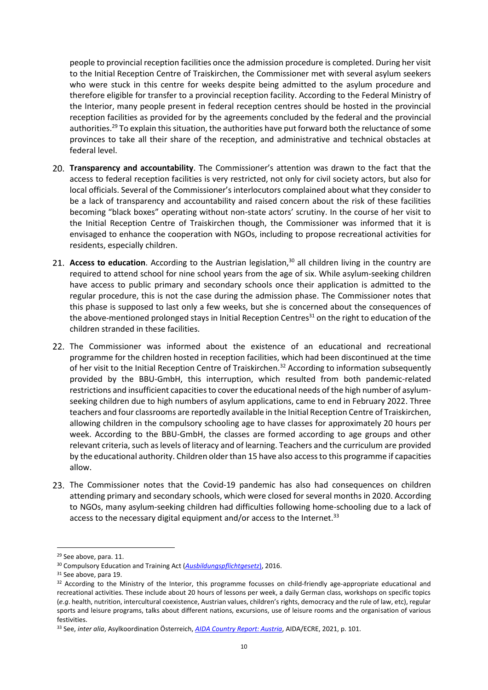people to provincial reception facilities once the admission procedure is completed. During her visit to the Initial Reception Centre of Traiskirchen, the Commissioner met with several asylum seekers who were stuck in this centre for weeks despite being admitted to the asylum procedure and therefore eligible for transfer to a provincial reception facility. According to the Federal Ministry of the Interior, many people present in federal reception centres should be hosted in the provincial reception facilities as provided for by the agreements concluded by the federal and the provincial authorities.<sup>29</sup> To explain this situation, the authorities have put forward both the reluctance of some provinces to take all their share of the reception, and administrative and technical obstacles at federal level.

- **Transparency and accountability**. The Commissioner's attention was drawn to the fact that the access to federal reception facilities is very restricted, not only for civil society actors, but also for local officials. Several of the Commissioner's interlocutors complained about what they consider to be a lack of transparency and accountability and raised concern about the risk of these facilities becoming "black boxes" operating without non-state actors' scrutiny. In the course of her visit to the Initial Reception Centre of Traiskirchen though, the Commissioner was informed that it is envisaged to enhance the cooperation with NGOs, including to propose recreational activities for residents, especially children.
- 21. Access to education. According to the Austrian legislation,<sup>30</sup> all children living in the country are required to attend school for nine school years from the age of six. While asylum-seeking children have access to public primary and secondary schools once their application is admitted to the regular procedure, this is not the case during the admission phase. The Commissioner notes that this phase is supposed to last only a few weeks, but she is concerned about the consequences of the above-mentioned prolonged stays in Initial Reception Centres<sup>31</sup> on the right to education of the children stranded in these facilities.
- 22. The Commissioner was informed about the existence of an educational and recreational programme for the children hosted in reception facilities, which had been discontinued at the time of her visit to the Initial Reception Centre of Traiskirchen.<sup>32</sup> According to information subsequently provided by the BBU-GmbH, this interruption, which resulted from both pandemic-related restrictions and insufficient capacities to cover the educational needs of the high number of asylumseeking children due to high numbers of asylum applications, came to end in February 2022. Three teachers and four classrooms are reportedly available in the Initial Reception Centre of Traiskirchen, allowing children in the compulsory schooling age to have classes for approximately 20 hours per week. According to the BBU-GmbH, the classes are formed according to age groups and other relevant criteria, such as levels of literacy and of learning. Teachers and the curriculum are provided by the educational authority. Children older than 15 have also access to this programme if capacities allow.
- 23. The Commissioner notes that the Covid-19 pandemic has also had consequences on children attending primary and secondary schools, which were closed for several months in 2020. According to NGOs, many asylum-seeking children had difficulties following home-schooling due to a lack of access to the necessary digital equipment and/or access to the Internet.<sup>33</sup>

<sup>29</sup> See above, para. [11.](#page-6-1)

<sup>30</sup> Compulsory Education and Training Act (*[Ausbildungspflichtgesetz](https://www.ris.bka.gv.at/GeltendeFassung.wxe?Abfrage=Bundesnormen&Gesetzesnummer=20009604)*), 2016.

<sup>31</sup> See above, para [19.](#page-8-0)

<sup>32</sup> According to the Ministry of the Interior, this programme focusses on child-friendly age-appropriate educational and recreational activities. These include about 20 hours of lessons per week, a daily German class, workshops on specific topics (*e.g*. health, nutrition, intercultural coexistence, Austrian values, children's rights, democracy and the rule of law, etc), regular sports and leisure programs, talks about different nations, excursions, use of leisure rooms and the organisation of various festivities.

<sup>33</sup> See, *inter alia*, Asylkoordination Österreich, *[AIDA Country Report: Austria](https://asylumineurope.org/wp-content/uploads/2021/04/AIDA-AT_2020update.pdf)*, AIDA/ECRE, 2021, p. 101.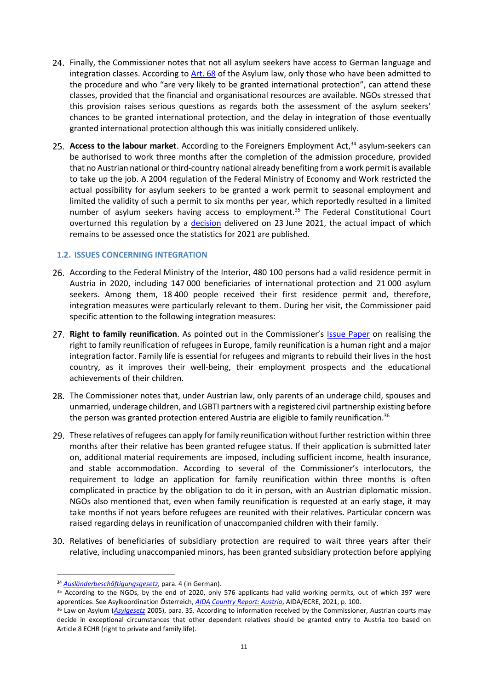- 24. Finally, the Commissioner notes that not all asylum seekers have access to German language and integration classes. According to [Art.](https://www.ris.bka.gv.at/GeltendeFassung.wxe?Abfrage=Bundesnormen&Gesetzesnummer=20004240) 68 of the Asylum law, only those who have been admitted to the procedure and who "are very likely to be granted international protection", can attend these classes, provided that the financial and organisational resources are available. NGOs stressed that this provision raises serious questions as regards both the assessment of the asylum seekers' chances to be granted international protection, and the delay in integration of those eventually granted international protection although this was initially considered unlikely.
- Access to the labour market. According to the Foreigners Employment Act,<sup>34</sup> asylum-seekers can be authorised to work three months after the completion of the admission procedure, provided that no Austrian national or third-country national already benefiting from a work permit is available to take up the job. A 2004 regulation of the Federal Ministry of Economy and Work restricted the actual possibility for asylum seekers to be granted a work permit to seasonal employment and limited the validity of such a permit to six months per year, which reportedly resulted in a limited number of asylum seekers having access to employment.<sup>35</sup> The Federal Constitutional Court overturned this regulation by a [decision](https://www.google.fr/url?sa=t&rct=j&q=&esrc=s&source=web&cd=&ved=2ahUKEwiVi8eXrar2AhWP_7sIHb2QB6cQFnoECAYQAQ&url=https%3A%2F%2Fwww.vfgh.gv.at%2Fdownloads%2FVfGH-Erkenntnis_V_95-96_2021_vom_23._Juni_2021.pdf&usg=AOvVaw158rwbhEXtFCzmrg9YsNAO) delivered on 23 June 2021, the actual impact of which remains to be assessed once the statistics for 2021 are published.

#### <span id="page-10-0"></span>**1.2. ISSUES CONCERNING INTEGRATION**

- According to the Federal Ministry of the Interior, 480 100 persons had a valid residence permit in Austria in 2020, including 147 000 beneficiaries of international protection and 21 000 asylum seekers. Among them, 18 400 people received their first residence permit and, therefore, integration measures were particularly relevant to them. During her visit, the Commissioner paid specific attention to the following integration measures:
- 27. Right to family reunification. As pointed out in the Commissioner's **[Issue Paper](https://rm.coe.int/prems-052917-gbr-1700-realising-refugees-160x240-web/1680724ba0)** on realising the right to family reunification of refugees in Europe, family reunification is a human right and a major integration factor. Family life is essential for refugees and migrants to rebuild their lives in the host country, as it improves their well-being, their employment prospects and the educational achievements of their children.
- 28. The Commissioner notes that, under Austrian law, only parents of an underage child, spouses and unmarried, underage children, and LGBTI partners with a registered civil partnership existing before the person was granted protection entered Austria are eligible to family reunification.<sup>36</sup>
- 29. These relatives of refugees can apply for family reunification without further restriction within three months after their relative has been granted refugee status. If their application is submitted later on, additional material requirements are imposed, including sufficient income, health insurance, and stable accommodation. According to several of the Commissioner's interlocutors, the requirement to lodge an application for family reunification within three months is often complicated in practice by the obligation to do it in person, with an Austrian diplomatic mission. NGOs also mentioned that, even when family reunification is requested at an early stage, it may take months if not years before refugees are reunited with their relatives. Particular concern was raised regarding delays in reunification of unaccompanied children with their family.
- 30. Relatives of beneficiaries of subsidiary protection are required to wait three years after their relative, including unaccompanied minors, has been granted subsidiary protection before applying

<sup>34</sup> *[Ausländerbeschäftigungsgesetz,](https://www.ris.bka.gv.at/GeltendeFassung.wxe?Abfrage=Bundesnormen&Gesetzesnummer=10008365)* para. 4 (in German).

<sup>&</sup>lt;sup>35</sup> According to the NGOs, by the end of 2020, only 576 applicants had valid working permits, out of which 397 were apprentices. See Asylkoordination Österreich, *[AIDA Country Report: Austria](https://asylumineurope.org/wp-content/uploads/2021/04/AIDA-AT_2020update.pdf)*, AIDA/ECRE, 2021, p. 100.

<sup>36</sup> Law on Asylum (*[Asylgesetz](https://www.ris.bka.gv.at/GeltendeFassung.wxe?Abfrage=Bundesnormen&Gesetzesnummer=20004240)* 2005), para. 35. According to information received by the Commissioner, Austrian courts may decide in exceptional circumstances that other dependent relatives should be granted entry to Austria too based on Article 8 ECHR (right to private and family life).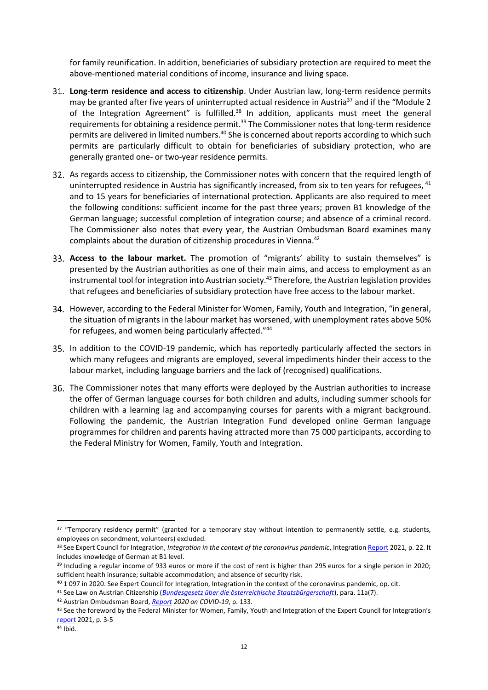for family reunification. In addition, beneficiaries of subsidiary protection are required to meet the above-mentioned material conditions of income, insurance and living space.

- **Long**-**term residence and access to citizenship**. Under Austrian law, long-term residence permits may be granted after five years of uninterrupted actual residence in Austria<sup>37</sup> and if the "Module 2 of the Integration Agreement" is fulfilled.<sup>38</sup> In addition, applicants must meet the general requirements for obtaining a residence permit.<sup>39</sup> The Commissioner notes that long-term residence permits are delivered in limited numbers.<sup>40</sup> She is concerned about reports according to which such permits are particularly difficult to obtain for beneficiaries of subsidiary protection, who are generally granted one- or two-year residence permits.
- As regards access to citizenship, the Commissioner notes with concern that the required length of uninterrupted residence in Austria has significantly increased, from six to ten years for refugees, <sup>41</sup> and to 15 years for beneficiaries of international protection. Applicants are also required to meet the following conditions: sufficient income for the past three years; proven B1 knowledge of the German language; successful completion of integration course; and absence of a criminal record. The Commissioner also notes that every year, the Austrian Ombudsman Board examines many complaints about the duration of citizenship procedures in Vienna.<sup>42</sup>
- **Access to the labour market.** The promotion of "migrants' ability to sustain themselves" is presented by the Austrian authorities as one of their main aims, and access to employment as an instrumental tool for integration into Austrian society.<sup>43</sup> Therefore, the Austrian legislation provides that refugees and beneficiaries of subsidiary protection have free access to the labour market.
- 34. However, according to the Federal Minister for Women, Family, Youth and Integration, "in general, the situation of migrants in the labour market has worsened, with unemployment rates above 50% for refugees, and women being particularly affected."<sup>44</sup>
- 35. In addition to the COVID-19 pandemic, which has reportedly particularly affected the sectors in which many refugees and migrants are employed, several impediments hinder their access to the labour market, including language barriers and the lack of (recognised) qualifications.
- 36. The Commissioner notes that many efforts were deployed by the Austrian authorities to increase the offer of German language courses for both children and adults, including summer schools for children with a learning lag and accompanying courses for parents with a migrant background. Following the pandemic, the Austrian Integration Fund developed online German language programmes for children and parents having attracted more than 75 000 participants, according to the Federal Ministry for Women, Family, Youth and Integration.

<sup>&</sup>lt;sup>37</sup> "Temporary residency permit" (granted for a temporary stay without intention to permanently settle, e.g. students, employees on secondment, volunteers) excluded.

<sup>38</sup> See Expert Council for Integration, *Integration in the context of the coronavirus pandemic*, Integratio[n Report](https://www.bundeskanzleramt.gv.at/dam/jcr:904e730a-bc80-4b88-9ab2-33b98c10c79e/integrationsbericht2021_en.pdf) 2021, p. 22. It includes knowledge of German at B1 level.

<sup>&</sup>lt;sup>39</sup> Including a regular income of 933 euros or more if the cost of rent is higher than 295 euros for a single person in 2020; sufficient health insurance; suitable accommodation; and absence of security risk.

<sup>&</sup>lt;sup>40</sup> 1 097 in 2020. See Expert Council for Integration, Integration in the context of the coronavirus pandemic, op. cit.

<sup>41</sup> See Law on Austrian Citizenship (*[Bundesgesetz über die österreichische Staatsbürgerschaft](https://www.ris.bka.gv.at/GeltendeFassung.wxe?Abfrage=Bundesnormen&Gesetzesnummer=10005579)*), para. 11a(7).

<sup>42</sup> Austrian Ombudsman Board, *[Report](https://volksanwaltschaft.gv.at/downloads/6gq19/AOB%20Report%202020%20on%20COVID-19.pdf) 2020 on COVID-19*, p. 133.

<sup>43</sup> See the foreword by the Federal Minister for Women, Family, Youth and Integration of the Expert Council for Integration's [report](https://www.bundeskanzleramt.gv.at/dam/jcr:904e730a-bc80-4b88-9ab2-33b98c10c79e/integrationsbericht2021_en.pdf) 2021, p. 3-5

<sup>44</sup> Ibid.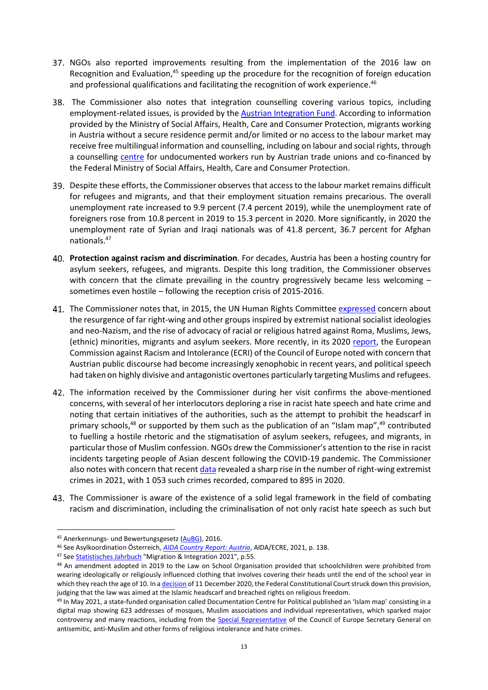- 37. NGOs also reported improvements resulting from the implementation of the 2016 law on Recognition and Evaluation, $45$  speeding up the procedure for the recognition of foreign education and professional qualifications and facilitating the recognition of work experience.<sup>46</sup>
- The Commissioner also notes that integration counselling covering various topics, including employment-related issues, is provided by the [Austrian Integration Fund.](https://www.integrationsfonds.at/themen/beratung/) According to information provided by the Ministry of Social Affairs, Health, Care and Consumer Protection, migrants working in Austria without a secure residence permit and/or limited or no access to the labour market may receive free multilingual information and counselling, including on labour and social rights, through a counselling [centre](https://undok.at/) for undocumented workers run by Austrian trade unions and co-financed by the Federal Ministry of Social Affairs, Health, Care and Consumer Protection.
- Despite these efforts, the Commissioner observes that access to the labour market remains difficult for refugees and migrants, and that their employment situation remains precarious. The overall unemployment rate increased to 9.9 percent (7.4 percent 2019), while the unemployment rate of foreigners rose from 10.8 percent in 2019 to 15.3 percent in 2020. More significantly, in 2020 the unemployment rate of Syrian and Iraqi nationals was of 41.8 percent, 36.7 percent for Afghan nationals. 47
- **Protection against racism and discrimination**. For decades, Austria has been a hosting country for asylum seekers, refugees, and migrants. Despite this long tradition, the Commissioner observes with concern that the climate prevailing in the country progressively became less welcoming sometimes even hostile – following the reception crisis of 2015-2016.
- 41. The Commissioner notes that, in 2015, the UN Human Rights Committee [expressed](https://undocs.org/CCPR/C/AUT/CO/5) concern about the resurgence of far right-wing and other groups inspired by extremist national socialist ideologies and neo-Nazism, and the rise of advocacy of racial or religious hatred against Roma, Muslims, Jews, (ethnic) minorities, migrants and asylum seekers. More recently, in its 2020 [report,](https://rm.coe.int/report-on-austria-6th-monitoring-cycle-/16809e826f) the European Commission against Racism and Intolerance (ECRI) of the Council of Europe noted with concern that Austrian public discourse had become increasingly xenophobic in recent years, and political speech had taken on highly divisive and antagonistic overtones particularly targeting Muslims and refugees.
- 42. The information received by the Commissioner during her visit confirms the above-mentioned concerns, with several of her interlocutors deploring a rise in racist hate speech and hate crime and noting that certain initiatives of the authorities, such as the attempt to prohibit the headscarf in primary schools,<sup>48</sup> or supported by them such as the publication of an "Islam map", $49$  contributed to fuelling a hostile rhetoric and the stigmatisation of asylum seekers, refugees, and migrants, in particular those of Muslim confession. NGOs drew the Commissioner's attention to the rise in racist incidents targeting people of Asian descent following the COVID-19 pandemic. The Commissioner also notes with concern that recen[t data](https://www.derstandard.at/story/2000133829543/rechtsextreme-straftaten-im-pandemiejahr-2021-stark-angestiegen) revealed a sharp rise in the number of right-wing extremist crimes in 2021, with 1 053 such crimes recorded, compared to 895 in 2020.
- 43. The Commissioner is aware of the existence of a solid legal framework in the field of combating racism and discrimination, including the criminalisation of not only racist hate speech as such but

<sup>45</sup> Anerkennungs- und Bewertungsgesetz [\(AuBG\)](https://www.ris.bka.gv.at/GeltendeFassung.wxe?Abfrage=Bundesnormen&Gesetzesnummer=20009588), 2016.

<sup>46</sup> See Asylkoordination Österreich, *[AIDA Country Report: Austria](https://asylumineurope.org/wp-content/uploads/2021/04/AIDA-AT_2020update.pdf)*, AIDA/ECRE, 2021, p. 138.

<sup>47</sup> See [Statistisches Jahrbuch](https://www.bundeskanzleramt.gv.at/dam/jcr:d9b292a5-3457-4cff-aa80-58d92c46f3f8/stat_jahrbuch_migration_u_integration_2021.pdf) "Migration & Integration 2021", p.55.

<sup>48</sup> An amendment adopted in 2019 to the Law on School Organisation provided that schoolchildren were prohibited from wearing ideologically or religiously influenced clothing that involves covering their heads until the end of the school year in which they reach the age of 10. In [a decision](https://www.vfgh.gv.at/downloads/VfGH-Erkenntnis_G_4_2020_vom_11.12.2020.pdf) of 11 December 2020, the Federal Constitutional Court struck down this provision, judging that the law was aimed at the Islamic headscarf and breached rights on religious freedom.

<sup>49</sup> In May 2021, a state-funded organisation called Documentation Centre for Political published an 'Islam map' consisting in a digital map showing 623 addresses of mosques, Muslim associations and individual representatives, which sparked major controversy and many reactions, including from the [Special Representative](https://www.coe.int/en/web/antisemitic-anti-muslim-hatred-hate-crimes/-/publication-of-austria-s-islam-map-is-hostile-to-muslims-and-potentially-counterproductive) of the Council of Europe Secretary General on antisemitic, anti-Muslim and other forms of religious intolerance and hate crimes.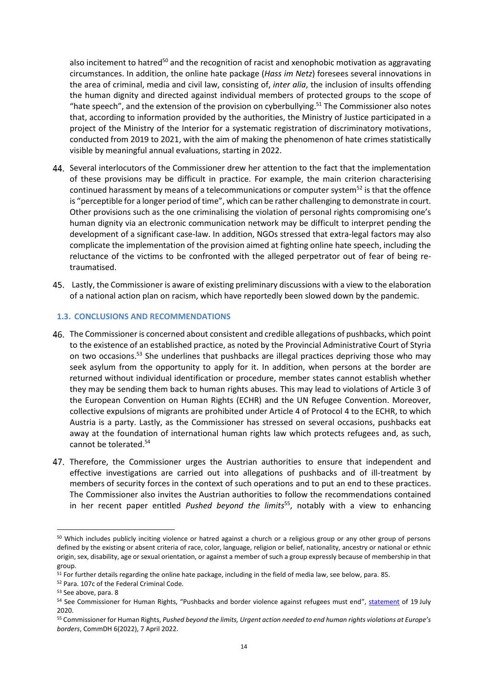also incitement to hatred<sup>50</sup> and the recognition of racist and xenophobic motivation as aggravating circumstances. In addition, the online hate package (*Hass im Netz*) foresees several innovations in the area of criminal, media and civil law, consisting of, *inter alia*, the inclusion of insults offending the human dignity and directed against individual members of protected groups to the scope of "hate speech", and the extension of the provision on cyberbullying.<sup>51</sup> The Commissioner also notes that, according to information provided by the authorities, the Ministry of Justice participated in a project of the Ministry of the Interior for a systematic registration of discriminatory motivations, conducted from 2019 to 2021, with the aim of making the phenomenon of hate crimes statistically visible by meaningful annual evaluations, starting in 2022.

- Several interlocutors of the Commissioner drew her attention to the fact that the implementation of these provisions may be difficult in practice. For example, the main criterion characterising continued harassment by means of a telecommunications or computer system<sup>52</sup> is that the offence is "perceptible for a longer period of time", which can be rather challenging to demonstrate in court. Other provisions such as the one criminalising the violation of personal rights compromising one's human dignity via an electronic communication network may be difficult to interpret pending the development of a significant case-law. In addition, NGOs stressed that extra-legal factors may also complicate the implementation of the provision aimed at fighting online hate speech, including the reluctance of the victims to be confronted with the alleged perpetrator out of fear of being retraumatised.
- Lastly, the Commissioner is aware of existing preliminary discussions with a view to the elaboration of a national action plan on racism, which have reportedly been slowed down by the pandemic.

#### <span id="page-13-0"></span>**1.3. CONCLUSIONS AND RECOMMENDATIONS**

- The Commissioner is concerned about consistent and credible allegations of pushbacks, which point to the existence of an established practice, as noted by the Provincial Administrative Court of Styria on two occasions.<sup>53</sup> She underlines that pushbacks are illegal practices depriving those who may seek asylum from the opportunity to apply for it. In addition, when persons at the border are returned without individual identification or procedure, member states cannot establish whether they may be sending them back to human rights abuses. This may lead to violations of Article 3 of the European Convention on Human Rights (ECHR) and the UN Refugee Convention. Moreover, collective expulsions of migrants are prohibited under Article 4 of Protocol 4 to the ECHR, to which Austria is a party. Lastly, as the Commissioner has stressed on several occasions, pushbacks eat away at the foundation of international human rights law which protects refugees and, as such, cannot be tolerated. 54
- 47. Therefore, the Commissioner urges the Austrian authorities to ensure that independent and effective investigations are carried out into allegations of pushbacks and of ill-treatment by members of security forces in the context of such operations and to put an end to these practices. The Commissioner also invites the Austrian authorities to follow the recommendations contained in her recent paper entitled *Pushed beyond the limits*<sup>55</sup> , notably with a view to enhancing

 $\overline{\phantom{a}}$ <sup>50</sup> Which includes publicly inciting violence or hatred against a church or a religious group or any other group of persons defined by the existing or absent criteria of race, color, language, religion or belief, nationality, ancestry or national or ethnic origin, sex, disability, age or sexual orientation, or against a member of such a group expressly because of membership in that group.

<sup>51</sup> For further details regarding the online hate package, including in the field of media law, see below, para[. 85.](#page-20-0)

<sup>52</sup> Para. 107c of the Federal Criminal Code.

<sup>53</sup> See above, para. [8](#page-6-2)

<sup>54</sup> See Commissioner for Human Rights, "Pushbacks and border violence against refugees must end", [statement](https://www.coe.int/en/web/commissioner/-/pushbacks-and-border-violence-against-refugees-must-end) of 19 July 2020.

<sup>55</sup> Commissioner for Human Rights, *Pushed beyond the limits, Urgent action needed to end human rights violations at Europe's borders*, CommDH 6(2022), 7 April 2022.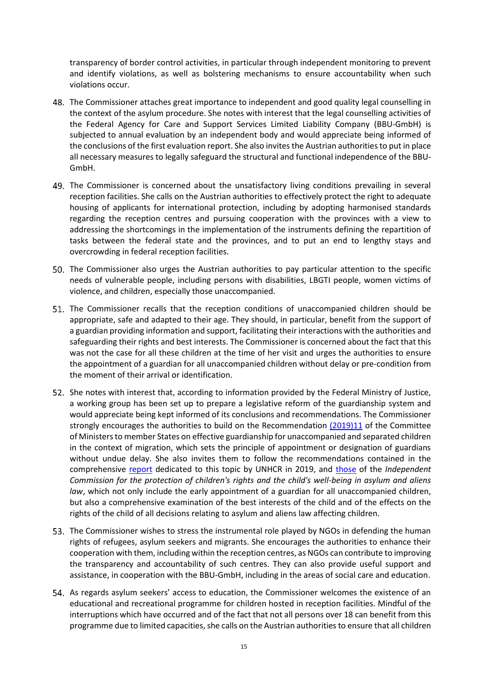transparency of border control activities, in particular through independent monitoring to prevent and identify violations, as well as bolstering mechanisms to ensure accountability when such violations occur.

- The Commissioner attaches great importance to independent and good quality legal counselling in the context of the asylum procedure. She notes with interest that the legal counselling activities of the Federal Agency for Care and Support Services Limited Liability Company (BBU-GmbH) is subjected to annual evaluation by an independent body and would appreciate being informed of the conclusions of the first evaluation report. She also invites the Austrian authorities to put in place all necessary measures to legally safeguard the structural and functional independence of the BBU-GmbH.
- The Commissioner is concerned about the unsatisfactory living conditions prevailing in several reception facilities. She calls on the Austrian authorities to effectively protect the right to adequate housing of applicants for international protection, including by adopting harmonised standards regarding the reception centres and pursuing cooperation with the provinces with a view to addressing the shortcomings in the implementation of the instruments defining the repartition of tasks between the federal state and the provinces, and to put an end to lengthy stays and overcrowding in federal reception facilities.
- 50. The Commissioner also urges the Austrian authorities to pay particular attention to the specific needs of vulnerable people, including persons with disabilities, LBGTI people, women victims of violence, and children, especially those unaccompanied.
- The Commissioner recalls that the reception conditions of unaccompanied children should be appropriate, safe and adapted to their age. They should, in particular, benefit from the support of a guardian providing information and support, facilitating their interactions with the authorities and safeguarding their rights and best interests. The Commissioner is concerned about the fact that this was not the case for all these children at the time of her visit and urges the authorities to ensure the appointment of a guardian for all unaccompanied children without delay or pre-condition from the moment of their arrival or identification.
- 52. She notes with interest that, according to information provided by the Federal Ministry of Justice, a working group has been set up to prepare a legislative reform of the guardianship system and would appreciate being kept informed of its conclusions and recommendations. The Commissioner strongly encourages the authorities to build on the Recommendation [\(2019\)11](https://rm.coe.int/cm-rec-2019-11-guardianship-en/16809ccfe2) of the Committee of Ministers to member States on effective guardianship for unaccompanied and separated children in the context of migration, which sets the principle of appointment or designation of guardians without undue delay. She also invites them to follow the recommendations contained in the comprehensive [report](https://www.refworld.org/pdfid/5cb438894.pdf) dedicated to this topic by UNHCR in 2019, and [those](https://www.google.fr/url?sa=t&rct=j&q=&esrc=s&source=web&cd=&ved=2ahUKEwi1nvHzsqf2AhUeQ_EDHfibA4kQFnoECAsQAQ&url=https%3A%2F%2Fwww.bmj.gv.at%2Fdam%2Fjcr%3A0a8466e4-c24a-4fd2-bfbc-c8b11facba2f%2FBericht%2520der%2520Kindeswohlkommission_13.%2520Juli%25202021%2520(Langfassung).pdf&usg=AOvVaw2DljrH1CUaUpvCilctAt5h) of the *Independent Commission for the protection of children's rights and the child's well-being in asylum and aliens law*, which not only include the early appointment of a guardian for all unaccompanied children, but also a comprehensive examination of the best interests of the child and of the effects on the rights of the child of all decisions relating to asylum and aliens law affecting children.
- 53. The Commissioner wishes to stress the instrumental role played by NGOs in defending the human rights of refugees, asylum seekers and migrants. She encourages the authorities to enhance their cooperation with them, including within the reception centres, as NGOs can contribute to improving the transparency and accountability of such centres. They can also provide useful support and assistance, in cooperation with the BBU-GmbH, including in the areas of social care and education.
- 54. As regards asylum seekers' access to education, the Commissioner welcomes the existence of an educational and recreational programme for children hosted in reception facilities. Mindful of the interruptions which have occurred and of the fact that not all persons over 18 can benefit from this programme due to limited capacities, she calls on the Austrian authorities to ensure that all children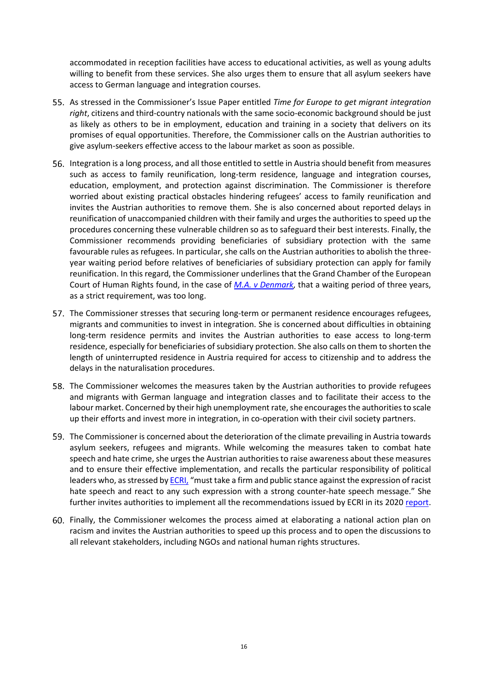accommodated in reception facilities have access to educational activities, as well as young adults willing to benefit from these services. She also urges them to ensure that all asylum seekers have access to German language and integration courses.

- As stressed in the Commissioner's Issue Paper entitled *Time for Europe to get migrant integration right*, citizens and third-country nationals with the same socio-economic background should be just as likely as others to be in employment, education and training in a society that delivers on its promises of equal opportunities. Therefore, the Commissioner calls on the Austrian authorities to give asylum-seekers effective access to the labour market as soon as possible.
- Integration is a long process, and all those entitled to settle in Austria should benefit from measures such as access to family reunification, long-term residence, language and integration courses, education, employment, and protection against discrimination. The Commissioner is therefore worried about existing practical obstacles hindering refugees' access to family reunification and invites the Austrian authorities to remove them. She is also concerned about reported delays in reunification of unaccompanied children with their family and urges the authorities to speed up the procedures concerning these vulnerable children so as to safeguard their best interests. Finally, the Commissioner recommends providing beneficiaries of subsidiary protection with the same favourable rules as refugees. In particular, she calls on the Austrian authorities to abolish the threeyear waiting period before relatives of beneficiaries of subsidiary protection can apply for family reunification. In this regard, the Commissioner underlines that the Grand Chamber of the European Court of Human Rights found, in the case of *[M.A. v Denmark,](https://hudoc.echr.coe.int/fre?i=001-211178)* that a waiting period of three years, as a strict requirement, was too long.
- 57. The Commissioner stresses that securing long-term or permanent residence encourages refugees, migrants and communities to invest in integration. She is concerned about difficulties in obtaining long-term residence permits and invites the Austrian authorities to ease access to long-term residence, especially for beneficiaries of subsidiary protection. She also calls on them to shorten the length of uninterrupted residence in Austria required for access to citizenship and to address the delays in the naturalisation procedures.
- The Commissioner welcomes the measures taken by the Austrian authorities to provide refugees and migrants with German language and integration classes and to facilitate their access to the labour market. Concerned by their high unemployment rate, she encourages the authorities to scale up their efforts and invest more in integration, in co-operation with their civil society partners.
- The Commissioner is concerned about the deterioration of the climate prevailing in Austria towards asylum seekers, refugees and migrants. While welcoming the measures taken to combat hate speech and hate crime, she urges the Austrian authorities to raise awareness about these measures and to ensure their effective implementation, and recalls the particular responsibility of political leaders who, as stressed b[y ECRI,](https://rm.coe.int/report-on-austria-6th-monitoring-cycle-/16809e826f) "must take a firm and public stance against the expression of racist hate speech and react to any such expression with a strong counter-hate speech message." She further invites authorities to implement all the recommendations issued by ECRI in its 202[0 report.](https://rm.coe.int/report-on-austria-6th-monitoring-cycle-/16809e826f)
- Finally, the Commissioner welcomes the process aimed at elaborating a national action plan on racism and invites the Austrian authorities to speed up this process and to open the discussions to all relevant stakeholders, including NGOs and national human rights structures.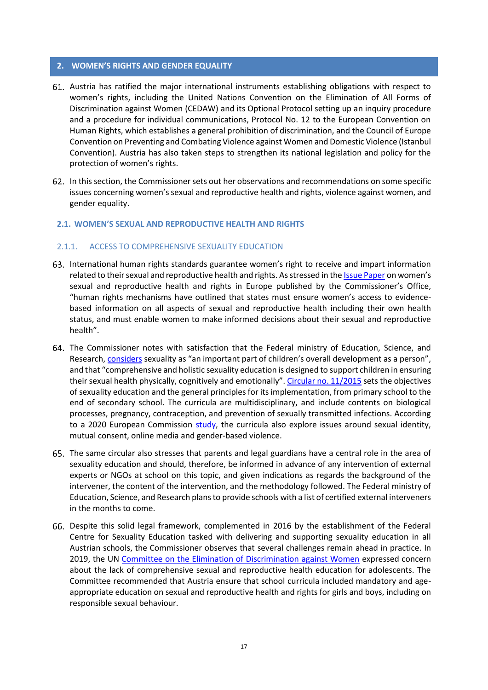#### <span id="page-16-0"></span>**2. WOMEN'S RIGHTS AND GENDER EQUALITY**

- Austria has ratified the major international instruments establishing obligations with respect to women's rights, including the United Nations Convention on the Elimination of All Forms of Discrimination against Women (CEDAW) and its Optional Protocol setting up an inquiry procedure and a procedure for individual communications, Protocol No. 12 to the European Convention on Human Rights, which establishes a general prohibition of discrimination, and the Council of Europe Convention on Preventing and Combating Violence against Women and Domestic Violence (Istanbul Convention). Austria has also taken steps to strengthen its national legislation and policy for the protection of women's rights.
- In this section, the Commissioner sets out her observations and recommendations on some specific issues concerning women's sexual and reproductive health and rights, violence against women, and gender equality.

#### <span id="page-16-1"></span>**2.1. WOMEN'S SEXUAL AND REPRODUCTIVE HEALTH AND RIGHTS**

#### <span id="page-16-2"></span>2.1.1. ACCESS TO COMPREHENSIVE SEXUALITY EDUCATION

- 63. International human rights standards guarantee women's right to receive and impart information related to their sexual and reproductive health and rights. As stressed in th[e Issue Paper](http://rm.coe.int/women-s-sexual-and-reproductive-health-and-rights-in-europe-issue-pape/168076dead) on women's sexual and reproductive health and rights in Europe published by the Commissioner's Office, "human rights mechanisms have outlined that states must ensure women's access to evidencebased information on all aspects of sexual and reproductive health including their own health status, and must enable women to make informed decisions about their sexual and reproductive health".
- 64. The Commissioner notes with satisfaction that the Federal ministry of Education, Science, and Research, [considers](https://www.bmbwf.gv.at/Themen/schule/schulpraxis/schwerpunkte/sexualpaed.html) sexuality as "an important part of children's overall development as a person", and that "comprehensive and holistic sexuality education is designed to support children in ensuring their sexual health physically, cognitively and emotionally". [Circular no. 11/2015](https://www.bmbwf.gv.at/Themen/schule/schulrecht/rs/1997-2017/2015_11.html) sets the objectives of sexuality education and the general principles for itsimplementation, from primary school to the end of secondary school. The curricula are multidisciplinary, and include contents on biological processes, pregnancy, contraception, and prevention of sexually transmitted infections. According to a 2020 European Commission [study,](https://www.google.fr/url?sa=t&rct=j&q=&esrc=s&source=web&cd=&ved=2ahUKEwi_rorhgfj1AhX5Q_EDHTW8A2cQFnoECAQQAQ&url=https%3A%2F%2Fec.europa.eu%2Fsocial%2FBlobServlet%3FdocId%3D23654%26langId%3Den&usg=AOvVaw38JyDFpI6J7gazsSHonDsT) the curricula also explore issues around sexual identity, mutual consent, online media and gender-based violence.
- 65. The same circular also stresses that parents and legal guardians have a central role in the area of sexuality education and should, therefore, be informed in advance of any intervention of external experts or NGOs at school on this topic, and given indications as regards the background of the intervener, the content of the intervention, and the methodology followed. The Federal ministry of Education, Science, and Research plans to provide schools with a list of certified external interveners in the months to come.
- Despite this solid legal framework, complemented in 2016 by the establishment of the Federal Centre for Sexuality Education tasked with delivering and supporting sexuality education in all Austrian schools, the Commissioner observes that several challenges remain ahead in practice. In 2019, the UN [Committee on the Elimination of Discrimination against Women](https://daccess-ods.un.org/access.nsf/Get?OpenAgent&DS=CEDAW/C/AUT/CO/9&Lang=E) expressed concern about the lack of comprehensive sexual and reproductive health education for adolescents. The Committee recommended that Austria ensure that school curricula included mandatory and ageappropriate education on sexual and reproductive health and rights for girls and boys, including on responsible sexual behaviour.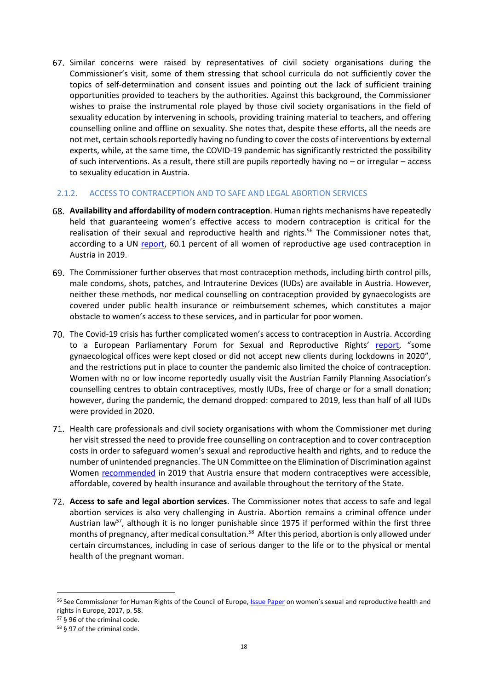Similar concerns were raised by representatives of civil society organisations during the Commissioner's visit, some of them stressing that school curricula do not sufficiently cover the topics of self-determination and consent issues and pointing out the lack of sufficient training opportunities provided to teachers by the authorities. Against this background, the Commissioner wishes to praise the instrumental role played by those civil society organisations in the field of sexuality education by intervening in schools, providing training material to teachers, and offering counselling online and offline on sexuality. She notes that, despite these efforts, all the needs are not met, certain schools reportedly having no funding to cover the costs of interventions by external experts, while, at the same time, the COVID-19 pandemic has significantly restricted the possibility of such interventions. As a result, there still are pupils reportedly having no – or irregular – access to sexuality education in Austria.

#### <span id="page-17-0"></span>2.1.2. ACCESS TO CONTRACEPTION AND TO SAFE AND LEGAL ABORTION SERVICES

- **Availability and affordability of modern contraception**. Human rights mechanisms have repeatedly held that guaranteeing women's effective access to modern contraception is critical for the realisation of their sexual and reproductive health and rights.<sup>56</sup> The Commissioner notes that, according to a UN [report,](https://www.google.fr/url?sa=t&rct=j&q=&esrc=s&source=web&cd=&ved=2ahUKEwi7od7A6830AhUqSvEDHYm-CHIQFnoECAsQAQ&url=https%3A%2F%2Fwww.un.org%2Fen%2Fdevelopment%2Fdesa%2Fpopulation%2Fpublications%2Fpdf%2Ffamily%2FWorld_Fertility_and_Family_Planning_2020_Highlights.pdf&usg=AOvVaw3KR9qTi3oD9Ra2Y4gi_e5Y) 60.1 percent of all women of reproductive age used contraception in Austria in 2019.
- 69. The Commissioner further observes that most contraception methods, including birth control pills, male condoms, shots, patches, and Intrauterine Devices (IUDs) are available in Austria. However, neither these methods, nor medical counselling on contraception provided by gynaecologists are covered under public health insurance or reimbursement schemes, which constitutes a major obstacle to women's access to these services, and in particular for poor women.
- The Covid-19 crisis has further complicated women's access to contraception in Austria. According to a European Parliamentary Forum for Sexual and Reproductive Rights' [report](https://www.epfweb.org/sites/default/files/2021-09/EC_Report_v10.pdf), "some gynaecological offices were kept closed or did not accept new clients during lockdowns in 2020", and the restrictions put in place to counter the pandemic also limited the choice of contraception. Women with no or low income reportedly usually visit the Austrian Family Planning Association's counselling centres to obtain contraceptives, mostly IUDs, free of charge or for a small donation; however, during the pandemic, the demand dropped: compared to 2019, less than half of all IUDs were provided in 2020.
- 71. Health care professionals and civil society organisations with whom the Commissioner met during her visit stressed the need to provide free counselling on contraception and to cover contraception costs in order to safeguard women's sexual and reproductive health and rights, and to reduce the number of unintended pregnancies. The UN Committee on the Elimination of Discrimination against Women [recommended](https://undocs.org/CEDAW/C/AUT/CO/9) in 2019 that Austria ensure that modern contraceptives were accessible, affordable, covered by health insurance and available throughout the territory of the State.
- **Access to safe and legal abortion services**. The Commissioner notes that access to safe and legal abortion services is also very challenging in Austria. Abortion remains a criminal offence under Austrian law<sup>57</sup>, although it is no longer punishable since 1975 if performed within the first three months of pregnancy, after medical consultation. <sup>58</sup> After this period, abortion is only allowed under certain circumstances, including in case of serious danger to the life or to the physical or mental health of the pregnant woman.

<sup>56</sup> See Commissioner for Human Rights of the Council of Europe[, Issue Paper](http://rm.coe.int/women-s-sexual-and-reproductive-health-and-rights-in-europe-issue-pape/168076dead) on women's sexual and reproductive health and rights in Europe, 2017, p. 58.

<sup>57</sup> § 96 of the criminal code.

<sup>58</sup> § 97 of the criminal code.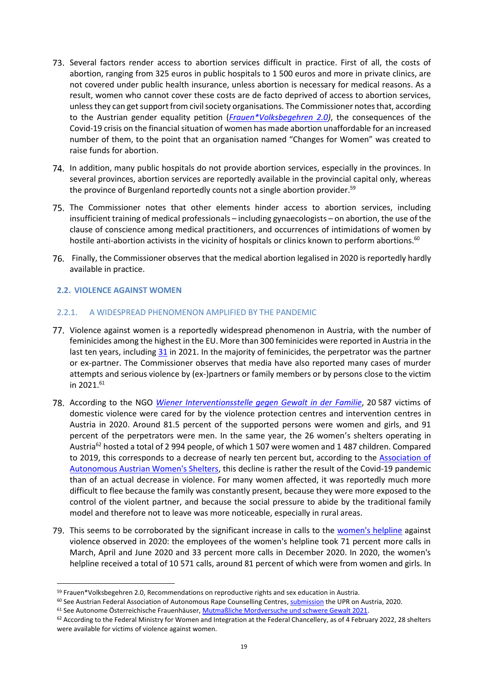- Several factors render access to abortion services difficult in practice. First of all, the costs of abortion, ranging from 325 euros in public hospitals to 1 500 euros and more in private clinics, are not covered under public health insurance, unless abortion is necessary for medical reasons. As a result, women who cannot cover these costs are de facto deprived of access to abortion services, unless they can get support from civil society organisations. The Commissioner notes that, according to the Austrian gender equality petition (*[Frauen\\*Volksbegehren](https://frauenvolksbegehren.at/) 2.0)*, the consequences of the Covid-19 crisis on the financial situation of women has made abortion unaffordable for an increased number of them, to the point that an organisation named "Changes for Women" was created to raise funds for abortion.
- In addition, many public hospitals do not provide abortion services, especially in the provinces. In several provinces, abortion services are reportedly available in the provincial capital only, whereas the province of Burgenland reportedly counts not a single abortion provider.<sup>59</sup>
- 75. The Commissioner notes that other elements hinder access to abortion services, including insufficient training of medical professionals – including gynaecologists – on abortion, the use of the clause of conscience among medical practitioners, and occurrences of intimidations of women by hostile anti-abortion activists in the vicinity of hospitals or clinics known to perform abortions.<sup>60</sup>
- Finally, the Commissioner observes that the medical abortion legalised in 2020 is reportedly hardly available in practice.

# <span id="page-18-0"></span>**2.2. VIOLENCE AGAINST WOMEN**

l

#### <span id="page-18-1"></span>2.2.1. A WIDESPREAD PHENOMENON AMPLIFIED BY THE PANDEMIC

- Violence against women is a reportedly widespread phenomenon in Austria, with the number of feminicides among the highest in the EU. More than 300 feminicides were reported in Austria in the last ten years, including [31](https://www.aoef.at/.images/04a_zahlen-und-daten/Frauenmorde_2021_Liste-AOEF.pdf) in 2021. In the majority of feminicides, the perpetrator was the partner or ex-partner. The Commissioner observes that media have also reported many cases of murder attempts and serious violence by (ex-)partners or family members or by persons close to the victim in 2021.<sup>61</sup>
- According to the NGO *[Wiener Interventionsstelle gegen Gewalt in der Familie](https://www.interventionsstelle-wien.at/download/?id=785)*, 20 587 victims of domestic violence were cared for by the violence protection centres and intervention centres in Austria in 2020. Around 81.5 percent of the supported persons were women and girls, and 91 percent of the perpetrators were men. In the same year, the 26 women's shelters operating in Austria<sup>62</sup> hosted a total of 2 994 people, of which 1 507 were women and 1 487 children. Compared to 2019, this corresponds to a decrease of nearly ten percent but, according to the [Association of](https://www.aoef.at/images/04a_zahlen-und-daten/Mordversuche_SchwereGewalt_2021_Liste-AOEF.pdf)  [Autonomous Austrian Women's Shelters,](https://www.aoef.at/images/04a_zahlen-und-daten/Mordversuche_SchwereGewalt_2021_Liste-AOEF.pdf) this decline is rather the result of the Covid-19 pandemic than of an actual decrease in violence. For many women affected, it was reportedly much more difficult to flee because the family was constantly present, because they were more exposed to the control of the violent partner, and because the social pressure to abide by the traditional family model and therefore not to leave was more noticeable, especially in rural areas.
- 79. This seems to be corroborated by the significant increase in calls to the [women's helpline](http://www.frauenhelpline.at/) against violence observed in 2020: the employees of the women's helpline took 71 percent more calls in March, April and June 2020 and 33 percent more calls in December 2020. In 2020, the women's helpline received a total of 10 571 calls, around 81 percent of which were from women and girls. In

<sup>59</sup> Frauen\*Volksbegehren 2.0, Recommendations on reproductive rights and sex education in Austria.

<sup>60</sup> See Austrian Federal Association of Autonomous Rape Counselling Centres, [submission](https://uprdoc.ohchr.org/uprweb/downloadfile.aspx?filename=1917&file=EnglishTranslation) the UPR on Austria, 2020. <sup>61</sup> See Autonome Österreichische Frauenhäuser, [Mutmaßliche Mordversuche und schwere Gewalt 2021.](https://www.aoef.at/images/04a_zahlen-und-daten/Mordversuche_SchwereGewalt_2021_Liste-AOEF.pdf)

 $62$  According to the Federal Ministry for Women and Integration at the Federal Chancellery, as of 4 February 2022, 28 shelters were available for victims of violence against women.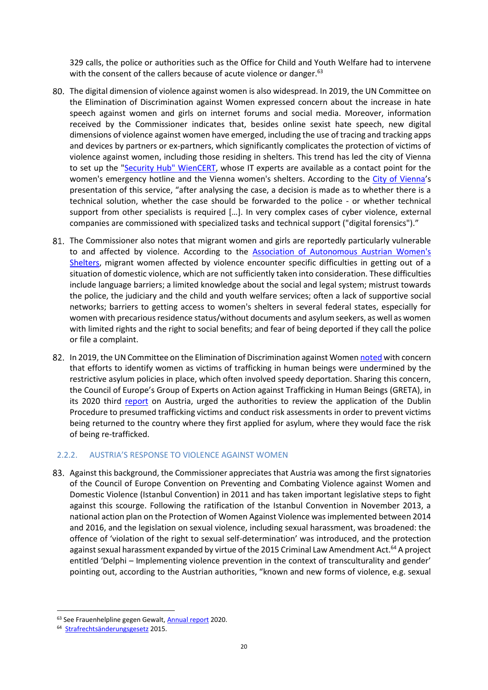329 calls, the police or authorities such as the Office for Child and Youth Welfare had to intervene with the consent of the callers because of acute violence or danger.<sup>63</sup>

- The digital dimension of violence against women is also widespread. In 2019, the UN Committee on the Elimination of Discrimination against Women expressed concern about the increase in hate speech against women and girls on internet forums and social media. Moreover, information received by the Commissioner indicates that, besides online sexist hate speech, new digital dimensions of violence against women have emerged, including the use of tracing and tracking apps and devices by partners or ex-partners, which significantly complicates the protection of victims of violence against women, including those residing in shelters. This trend has led the city of Vienna to set up the ["Security Hub" WienCERT,](https://www.wien.gv.at/presse/2020/09/25/frauenstadtraetin-kathrin-gaal-cybergewalt-start-fuer-neue-kompetenzstelle-der-stadt-wien) whose IT experts are available as a contact point for the women's emergency hotline and the Vienna women's shelters. According to the [City of Vienna](https://www.wien.gv.at/presse/2020/09/25/frauenstadtraetin-kathrin-gaal-cybergewalt-start-fuer-neue-kompetenzstelle-der-stadt-wien)'s presentation of this service, "after analysing the case, a decision is made as to whether there is a technical solution, whether the case should be forwarded to the police - or whether technical support from other specialists is required […]. In very complex cases of cyber violence, external companies are commissioned with specialized tasks and technical support ("digital forensics")."
- 81. The Commissioner also notes that migrant women and girls are reportedly particularly vulnerable to and affected by violence. According to the [Association of Autonomous Austrian Women's](https://www.aoef.at/.images/04a_zahlen-und-daten/Infosheet_Migration-und-Gewalt-an-Frauen.pdf)  [Shelters,](https://www.aoef.at/.images/04a_zahlen-und-daten/Infosheet_Migration-und-Gewalt-an-Frauen.pdf) migrant women affected by violence encounter specific difficulties in getting out of a situation of domestic violence, which are not sufficiently taken into consideration. These difficulties include language barriers; a limited knowledge about the social and legal system; mistrust towards the police, the judiciary and the child and youth welfare services; often a lack of supportive social networks; barriers to getting access to women's shelters in several federal states, especially for women with precarious residence status/without documents and asylum seekers, as well as women with limited rights and the right to social benefits; and fear of being deported if they call the police or file a complaint.
- 82. In 2019, the UN Committee on the Elimination of Discrimination against Wome[n noted](https://undocs.org/CEDAW/C/AUT/CO/9) with concern that efforts to identify women as victims of trafficking in human beings were undermined by the restrictive asylum policies in place, which often involved speedy deportation. Sharing this concern, the Council of Europe's Group of Experts on Action against Trafficking in Human Beings (GRETA), in its 2020 third [report](https://rm.coe.int/greta-2020-03-fgr-aut-en/16809eb4fd) on Austria, urged the authorities to review the application of the Dublin Procedure to presumed trafficking victims and conduct risk assessments in order to prevent victims being returned to the country where they first applied for asylum, where they would face the risk of being re-trafficked.

#### <span id="page-19-0"></span>2.2.2. AUSTRIA'S RESPONSE TO VIOLENCE AGAINST WOMEN

Against this background, the Commissioner appreciates that Austria was among the first signatories of the Council of Europe Convention on Preventing and Combating Violence against Women and Domestic Violence (Istanbul Convention) in 2011 and has taken important legislative steps to fight against this scourge. Following the ratification of the Istanbul Convention in November 2013, a national action plan on the Protection of Women Against Violence was implemented between 2014 and 2016, and the legislation on sexual violence, including sexual harassment, was broadened: the offence of 'violation of the right to sexual self-determination' was introduced, and the protection against sexual harassment expanded by virtue of the 2015 Criminal Law Amendment Act.<sup>64</sup> A project entitled 'Delphi – Implementing violence prevention in the context of transculturality and gender' pointing out, according to the Austrian authorities, "known and new forms of violence, e.g. sexual

l

<sup>63</sup> See Frauenhelpline gegen Gewalt, [Annual report](http://www.frauenhelpline.at/sites/default/files/frauenhelpline_jahresbericht_2020.pdf) 2020.

<sup>&</sup>lt;sup>64</sup> [Strafrechtsänderungsgesetz](https://www.parlament.gv.at/PAKT/VHG/XXV/I/I_00689/index.shtml) 2015.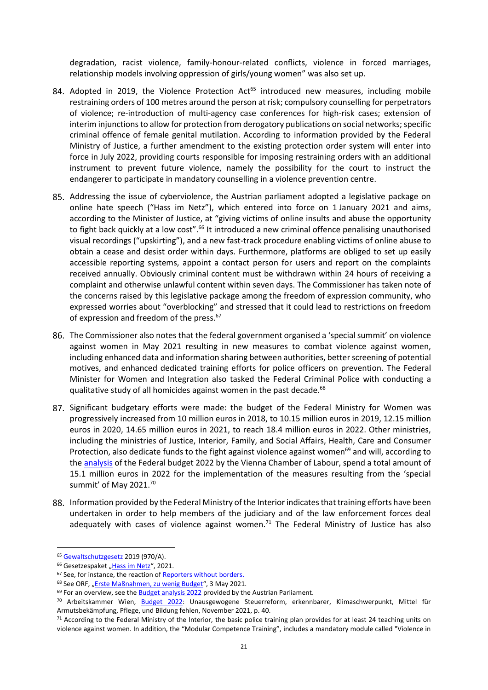degradation, racist violence, family-honour-related conflicts, violence in forced marriages, relationship models involving oppression of girls/young women" was also set up.

- <span id="page-20-1"></span>84. Adopted in 2019, the Violence Protection  $Act^{65}$  introduced new measures, including mobile restraining orders of 100 metres around the person at risk; compulsory counselling for perpetrators of violence; re-introduction of multi-agency case conferences for high-risk cases; extension of interim injunctions to allow for protection from derogatory publications on social networks; specific criminal offence of female genital mutilation. According to information provided by the Federal Ministry of Justice, a further amendment to the existing protection order system will enter into force in July 2022, providing courts responsible for imposing restraining orders with an additional instrument to prevent future violence, namely the possibility for the court to instruct the endangerer to participate in mandatory counselling in a violence prevention centre.
- <span id="page-20-0"></span>Addressing the issue of cyberviolence, the Austrian parliament adopted a legislative package on online hate speech ("Hass im Netz"), which entered into force on 1 January 2021 and aims, according to the Minister of Justice, at "giving victims of online insults and abuse the opportunity to fight back quickly at a low cost".<sup>66</sup> It introduced a new criminal offence penalising unauthorised visual recordings ("upskirting"), and a new fast-track procedure enabling victims of online abuse to obtain a cease and desist order within days. Furthermore, platforms are obliged to set up easily accessible reporting systems, appoint a contact person for users and report on the complaints received annually. Obviously criminal content must be withdrawn within 24 hours of receiving a complaint and otherwise unlawful content within seven days. The Commissioner has taken note of the concerns raised by this legislative package among the freedom of expression community, who expressed worries about "overblocking" and stressed that it could lead to restrictions on freedom of expression and freedom of the press.<sup>67</sup>
- The Commissioner also notes that the federal government organised a 'special summit' on violence against women in May 2021 resulting in new measures to combat violence against women, including enhanced data and information sharing between authorities, better screening of potential motives, and enhanced dedicated training efforts for police officers on prevention. The Federal Minister for Women and Integration also tasked the Federal Criminal Police with conducting a qualitative study of all homicides against women in the past decade.<sup>68</sup>
- 87. Significant budgetary efforts were made: the budget of the Federal Ministry for Women was progressively increased from 10 million euros in 2018, to 10.15 million euros in 2019, 12.15 million euros in 2020, 14.65 million euros in 2021, to reach 18.4 million euros in 2022. Other ministries, including the ministries of Justice, Interior, Family, and Social Affairs, Health, Care and Consumer Protection, also dedicate funds to the fight against violence against women<sup>69</sup> and will, according to th[e analysis](https://emedien.arbeiterkammer.at/viewer/api/v1/records/AC16360868/files/source/AC16360868.pdf) of the Federal budget 2022 by the Vienna Chamber of Labour, spend a total amount of 15.1 million euros in 2022 for the implementation of the measures resulting from the 'special summit' of May 2021.<sup>70</sup>
- 88. Information provided by the Federal Ministry of the Interior indicates that training efforts have been undertaken in order to help members of the judiciary and of the law enforcement forces deal adequately with cases of violence against women.<sup>71</sup> The Federal Ministry of Justice has also

<sup>65</sup> [Gewaltschutzgesetz](https://www.parlament.gv.at/PAKT/VHG/XXVI/A/A_00970/index.shtml) 2019 (970/A).

<sup>&</sup>lt;sup>66</sup> Gesetzespaket "[Hass im Netz](https://www.google.fr/url?sa=t&rct=j&q=&esrc=s&source=web&cd=&cad=rja&uact=8&ved=2ahUKEwiTq4vlyP_1AhUDuRoKHVU6CA4QFnoECCQQAQ&url=https%3A%2F%2Fwww.bmj.gv.at%2Fthemen%2Fgewalt-im-netz.html&usg=AOvVaw364NrrGruFyVi4H29ARsDI)", 2021.

<sup>67</sup> See, for instance, the reaction o[f Reporters without borders.](https://rsf.org/en/news/austrian-platform-law-government-should-avoid-errors-made-netzdg)

<sup>68</sup> See ORF, "[Erste Maßnahmen, zu wenig Budget](https://orf.at/stories/3211687/)", 3 May 2021.

 $69$  For an overview, see the **Budget analysis 2022** provided by the Austrian Parliament.

<sup>70</sup> Arbeitskammer Wien, [Budget 2022:](https://emedien.arbeiterkammer.at/viewer/api/v1/records/AC16360868/files/source/AC16360868.pdf) Unausgewogene Steuerreform, erkennbarer, Klimaschwerpunkt, Mittel für Armutsbekämpfung, Pflege, und Bildung fehlen, November 2021, p. 40.

 $71$  According to the Federal Ministry of the Interior, the basic police training plan provides for at least 24 teaching units on violence against women. In addition, the "Modular Competence Training", includes a mandatory module called "Violence in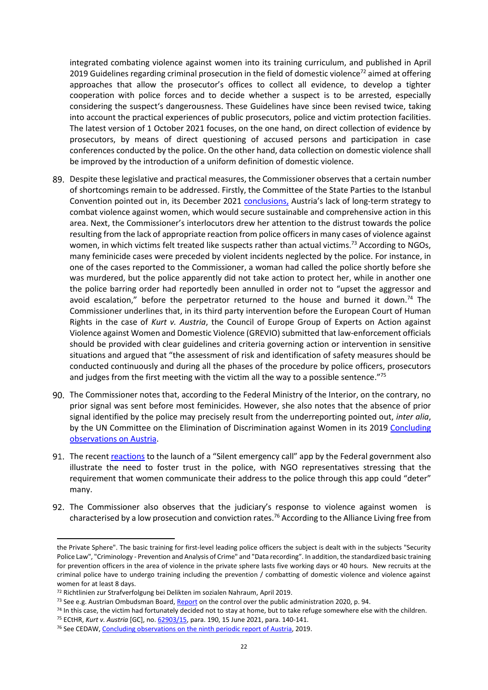integrated combating violence against women into its training curriculum, and published in April 2019 Guidelines regarding criminal prosecution in the field of domestic violence<sup>72</sup> aimed at offering approaches that allow the prosecutor's offices to collect all evidence, to develop a tighter cooperation with police forces and to decide whether a suspect is to be arrested, especially considering the suspect's dangerousness. These Guidelines have since been revised twice, taking into account the practical experiences of public prosecutors, police and victim protection facilities. The latest version of 1 October 2021 focuses, on the one hand, on direct collection of evidence by prosecutors, by means of direct questioning of accused persons and participation in case conferences conducted by the police. On the other hand, data collection on domestic violence shall be improved by the introduction of a uniform definition of domestic violence.

- Despite these legislative and practical measures, the Commissioner observes that a certain number of shortcomings remain to be addressed. Firstly, the Committee of the State Parties to the Istanbul Convention pointed out in, its December 2021 [conclusions,](https://rm.coe.int/ic-cp-inf-2021-5-cop-conclusions-austria-eng/1680a4cc48) Austria's lack of long-term strategy to combat violence against women, which would secure sustainable and comprehensive action in this area. Next, the Commissioner's interlocutors drew her attention to the distrust towards the police resulting from the lack of appropriate reaction from police officersin many cases of violence against women, in which victims felt treated like suspects rather than actual victims.<sup>73</sup> According to NGOs, many feminicide cases were preceded by violent incidents neglected by the police. For instance, in one of the cases reported to the Commissioner, a woman had called the police shortly before she was murdered, but the police apparently did not take action to protect her, while in another one the police barring order had reportedly been annulled in order not to "upset the aggressor and avoid escalation," before the perpetrator returned to the house and burned it down.<sup>74</sup> The Commissioner underlines that, in its third party intervention before the European Court of Human Rights in the case of *Kurt v. Austria*, the Council of Europe Group of Experts on Action against Violence against Women and Domestic Violence (GREVIO) submitted that law-enforcement officials should be provided with clear guidelines and criteria governing action or intervention in sensitive situations and argued that "the assessment of risk and identification of safety measures should be conducted continuously and during all the phases of the procedure by police officers, prosecutors and judges from the first meeting with the victim all the way to a possible sentence."<sup>75</sup>
- 90. The Commissioner notes that, according to the Federal Ministry of the Interior, on the contrary, no prior signal was sent before most feminicides. However, she also notes that the absence of prior signal identified by the police may precisely result from the underreporting pointed out, *inter alia*, by the UN Committee on the Elimination of Discrimination against Women in its 2019 Concluding [observations](https://undocs.org/CEDAW/C/AUT/CO/9) on Austria.
- 91. The recen[t reactions](https://www.derstandard.at/story/2000133222119/kritik-an-neuer-gewaltschutz-app-die-es-so-aehnlich-schon) to the launch of a "Silent emergency call" app by the Federal government also illustrate the need to foster trust in the police, with NGO representatives stressing that the requirement that women communicate their address to the police through this app could "deter" many.
- 92. The Commissioner also observes that the judiciary's response to violence against women is characterised by a low prosecution and conviction rates.<sup>76</sup> According to the Alliance Living free from

the Private Sphere". The basic training for first-level leading police officers the subject is dealt with in the subjects "Security Police Law", "Criminology - Prevention and Analysis of Crime" and "Data recording". In addition, the standardized basic training for prevention officers in the area of violence in the private sphere lasts five working days or 40 hours. New recruits at the criminal police have to undergo training including the prevention / combatting of domestic violence and violence against women for at least 8 days.

<sup>72</sup> Richtlinien zur Strafverfolgung bei Delikten im sozialen Nahraum, April 2019.

<sup>&</sup>lt;sup>73</sup> See e.g. Austrian Ombudsman Board, [Report](https://volksanwaltschaft.gv.at/downloads/46go2/PB-44-Kontrolle%20der%20%C3%B6ffentlichen%20Verwaltung_2020.pdf) on the control over the public administration 2020, p. 94.

<sup>74</sup> In this case, the victim had fortunately decided not to stay at home, but to take refuge somewhere else with the children.

<sup>75</sup> ECtHR, *Kurt v. Austria* [GC], no[. 62903/15,](https://hudoc.echr.coe.int/eng#{%22appno%22:[%2262903/15%22]}) para. 190, 15 June 2021, para. 140-141.

<sup>76</sup> See CEDAW, [Concluding observations on the ninth periodic report of Austria,](https://undocs.org/CEDAW/C/AUT/CO/9) 2019.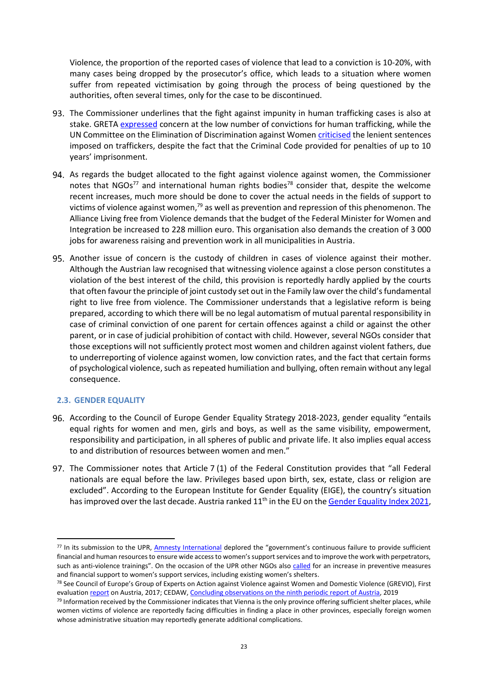Violence, the proportion of the reported cases of violence that lead to a conviction is 10-20%, with many cases being dropped by the prosecutor's office, which leads to a situation where women suffer from repeated victimisation by going through the process of being questioned by the authorities, often several times, only for the case to be discontinued.

- The Commissioner underlines that the fight against impunity in human trafficking cases is also at stake. GRETA [expressed](https://rm.coe.int/greta-2020-03-fgr-aut-en/16809eb4fd) concern at the low number of convictions for human trafficking, while the UN Committee on the Elimination of Discrimination against Women [criticised](https://undocs.org/CEDAW/C/AUT/CO/9) the lenient sentences imposed on traffickers, despite the fact that the Criminal Code provided for penalties of up to 10 years' imprisonment.
- 94. As regards the budget allocated to the fight against violence against women, the Commissioner notes that  $NGOs^{77}$  and international human rights bodies<sup>78</sup> consider that, despite the welcome recent increases, much more should be done to cover the actual needs in the fields of support to victims of violence against women,<sup>79</sup> as well as prevention and repression of this phenomenon. The Alliance Living free from Violence demands that the budget of the Federal Minister for Women and Integration be increased to 228 million euro. This organisation also demands the creation of 3 000 jobs for awareness raising and prevention work in all municipalities in Austria.
- 95. Another issue of concern is the custody of children in cases of violence against their mother. Although the Austrian law recognised that witnessing violence against a close person constitutes a violation of the best interest of the child, this provision is reportedly hardly applied by the courts that often favour the principle of joint custody set out in the Family law over the child's fundamental right to live free from violence. The Commissioner understands that a legislative reform is being prepared, according to which there will be no legal automatism of mutual parental responsibility in case of criminal conviction of one parent for certain offences against a child or against the other parent, or in case of judicial prohibition of contact with child. However, several NGOs consider that those exceptions will not sufficiently protect most women and children against violent fathers, due to underreporting of violence against women, low conviction rates, and the fact that certain forms of psychological violence, such as repeated humiliation and bullying, often remain without any legal consequence.

# <span id="page-22-0"></span>**2.3. GENDER EQUALITY**

- According to the Council of Europe Gender Equality Strategy 2018-2023, gender equality "entails equal rights for women and men, girls and boys, as well as the same visibility, empowerment, responsibility and participation, in all spheres of public and private life. It also implies equal access to and distribution of resources between women and men."
- 97. The Commissioner notes that Article  $7(1)$  of the Federal Constitution provides that "all Federal nationals are equal before the law. Privileges based upon birth, sex, estate, class or religion are excluded". According to the European Institute for Gender Equality (EIGE), the country's situation has improved over the last decade. Austria ranked 11<sup>th</sup> in the EU on the [Gender Equality Index 2021,](https://eige.europa.eu/gender-equality-index/2021/country/AT)

<sup>77</sup> In its submission to the UPR, [Amnesty International](https://uprdoc.ohchr.org/uprweb/downloadfile.aspx?filename=2185&file=EnglishTranslation) deplored the "government's continuous failure to provide sufficient financial and human resources to ensure wide access to women's support services and to improve the work with perpetrators, such as anti-violence trainings". On the occasion of the UPR other NGOs als[o called](http://daccess-ods.un.org/access.nsf/Get?Open&DS=A/HRC/WG.6/23/AUT/2&Lang=E) for an increase in preventive measures and financial support to women's support services, including existing women's shelters.

<sup>78</sup> See Council of Europe's Group of Experts on Action against Violence against Women and Domestic Violence (GREVIO), First evaluation [report](http://rm.coe.int/grevio-report-austria-1st-evaluation/1680759619) on Austria, 2017; CEDAW[, Concluding observations on the ninth periodic report of Austria,](https://undocs.org/CEDAW/C/AUT/CO/9) 2019

<sup>79</sup> Information received by the Commissioner indicates that Vienna is the only province offering sufficient shelter places, while women victims of violence are reportedly facing difficulties in finding a place in other provinces, especially foreign women whose administrative situation may reportedly generate additional complications.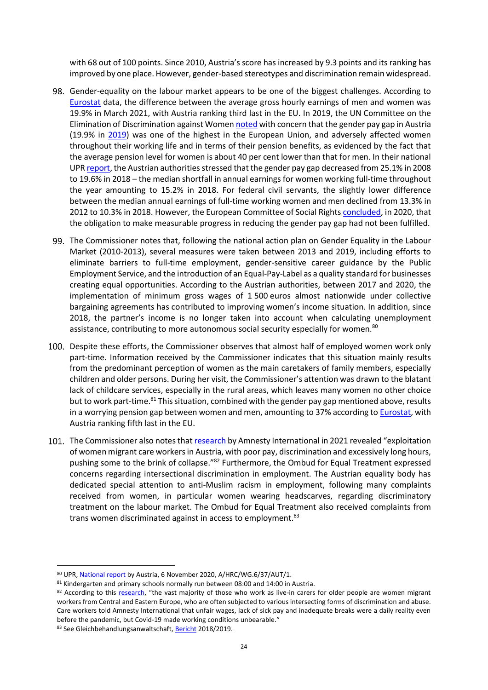with 68 out of 100 points. Since 2010, Austria's score has increased by 9.3 points and its ranking has improved by one place. However, gender-based stereotypes and discrimination remain widespread.

- Gender-equality on the labour market appears to be one of the biggest challenges. According to [Eurostat](https://ec.europa.eu/eurostat/statistics-explained/index.php?title=Gender_pay_gap_statistics) data, the difference between the average gross hourly earnings of men and women was 19.9% in March 2021, with Austria ranking third last in the EU. In 2019, the UN Committee on the Elimination of Discrimination against Wome[n noted](https://undocs.org/CEDAW/C/AUT/CO/9) with concern that the gender pay gap in Austria (19.9% in [2019\)](https://ec.europa.eu/info/sites/default/files/aid_development_cooperation_fundamental_rights/equalpayday_factsheet.pdf) was one of the highest in the European Union, and adversely affected women throughout their working life and in terms of their pension benefits, as evidenced by the fact that the average pension level for women is about 40 per cent lower than that for men. In their national UPR [report,](http://daccess-ods.un.org/access.nsf/Get?Open&DS=A/HRC/WG.6/37/AUT/1&Lang=E) the Austrian authorities stressed that the gender pay gap decreased from 25.1% in 2008 to 19.6% in 2018 – the median shortfall in annual earnings for women working full-time throughout the year amounting to 15.2% in 2018. For federal civil servants, the slightly lower difference between the median annual earnings of full-time working women and men declined from 13.3% in 2012 to 10.3% in 2018. However, the European Committee of Social Rights [concluded,](https://rm.coe.int/esc-press-briefing-conclusions-2020-final-en/1680a1e05b) in 2020, that the obligation to make measurable progress in reducing the gender pay gap had not been fulfilled.
- The Commissioner notes that, following the national action plan on Gender Equality in the Labour Market (2010-2013), several measures were taken between 2013 and 2019, including efforts to eliminate barriers to full-time employment, gender-sensitive career guidance by the Public Employment Service, and the introduction of an Equal-Pay-Label as a quality standard for businesses creating equal opportunities. According to the Austrian authorities, between 2017 and 2020, the implementation of minimum gross wages of 1 500 euros almost nationwide under collective bargaining agreements has contributed to improving women's income situation. In addition, since 2018, the partner's income is no longer taken into account when calculating unemployment assistance, contributing to more autonomous social security especially for women.<sup>80</sup>
- 100. Despite these efforts, the Commissioner observes that almost half of employed women work only part-time. Information received by the Commissioner indicates that this situation mainly results from the predominant perception of women as the main caretakers of family members, especially children and older persons. During her visit, the Commissioner's attention was drawn to the blatant lack of childcare services, especially in the rural areas, which leaves many women no other choice but to work part-time.<sup>81</sup> This situation, combined with the gender pay gap mentioned above, results in a worrying pension gap between women and men, amounting to 37% according t[o Eurostat,](https://ec.europa.eu/eurostat/fr/web/products-eurostat-news/-/ddn-20210203-1) with Austria ranking fifth last in the EU.
- 101. The Commissioner also notes that [research](https://www.amnesty.org/en/latest/press-release/2021/07/austria-women-migrant-care-workers-demand-rights/) by Amnesty International in 2021 revealed "exploitation" of women migrant care workers in Austria, with poor pay, discrimination and excessively long hours, pushing some to the brink of collapse."<sup>82</sup> Furthermore, the Ombud for Equal Treatment expressed concerns regarding intersectional discrimination in employment. The Austrian equality body has dedicated special attention to anti-Muslim racism in employment, following many complaints received from women, in particular women wearing headscarves, regarding discriminatory treatment on the labour market. The Ombud for Equal Treatment also received complaints from trans women discriminated against in access to employment.<sup>83</sup>

<sup>80</sup> UPR[, National report](http://daccess-ods.un.org/access.nsf/Get?Open&DS=A/HRC/WG.6/37/AUT/1&Lang=E) by Austria, 6 November 2020, A/HRC/WG.6/37/AUT/1.

<sup>81</sup> Kindergarten and primary schools normally run between 08:00 and 14:00 in Austria.

<sup>82</sup> According to this [research,](https://www.amnesty.org/en/latest/press-release/2021/07/austria-women-migrant-care-workers-demand-rights/) "the vast majority of those who work as live-in carers for older people are women migrant workers from Central and Eastern Europe, who are often subjected to various intersecting forms of discrimination and abuse. Care workers told Amnesty International that unfair wages, lack of sick pay and inadequate breaks were a daily reality even before the pandemic, but Covid-19 made working conditions unbearable."

<sup>83</sup> See Gleichbehandlungsanwaltschaft, [Bericht](https://www.gleichbehandlungsanwaltschaft.gv.at/dam/jcr:48c5d572-eee7-4f5e-b138-2e4c66e30b2a/201103_GAW_Taetigkeitsbericht_2018-2019_A4_BF.pdf) 2018/2019.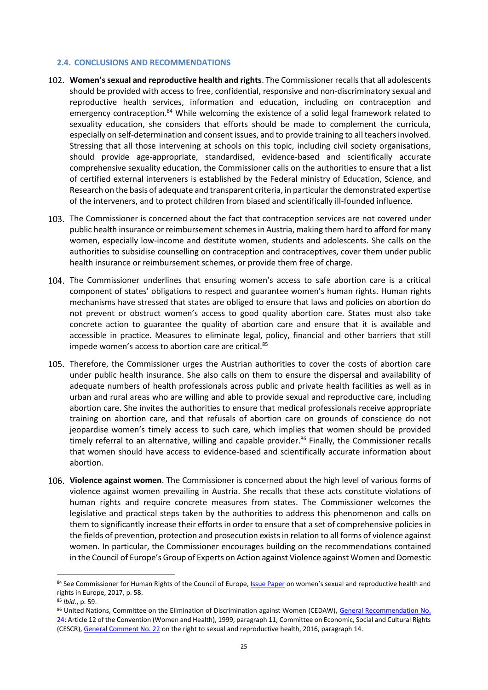#### <span id="page-24-0"></span>**2.4. CONCLUSIONS AND RECOMMENDATIONS**

- **Women's sexual and reproductive health and rights**. The Commissioner recalls that all adolescents should be provided with access to free, confidential, responsive and non-discriminatory sexual and reproductive health services, information and education, including on contraception and emergency contraception.<sup>84</sup> While welcoming the existence of a solid legal framework related to sexuality education, she considers that efforts should be made to complement the curricula, especially on self-determination and consent issues, and to provide training to all teachers involved. Stressing that all those intervening at schools on this topic, including civil society organisations, should provide age-appropriate, standardised, evidence-based and scientifically accurate comprehensive sexuality education, the Commissioner calls on the authorities to ensure that a list of certified external interveners is established by the Federal ministry of Education, Science, and Research on the basis of adequate and transparent criteria, in particular the demonstrated expertise of the interveners, and to protect children from biased and scientifically ill-founded influence.
- 103. The Commissioner is concerned about the fact that contraception services are not covered under public health insurance or reimbursement schemes in Austria, making them hard to afford for many women, especially low-income and destitute women, students and adolescents. She calls on the authorities to subsidise counselling on contraception and contraceptives, cover them under public health insurance or reimbursement schemes, or provide them free of charge.
- The Commissioner underlines that ensuring women's access to safe abortion care is a critical component of states' obligations to respect and guarantee women's human rights. Human rights mechanisms have stressed that states are obliged to ensure that laws and policies on abortion do not prevent or obstruct women's access to good quality abortion care. States must also take concrete action to guarantee the quality of abortion care and ensure that it is available and accessible in practice. Measures to eliminate legal, policy, financial and other barriers that still impede women's access to abortion care are critical.<sup>85</sup>
- Therefore, the Commissioner urges the Austrian authorities to cover the costs of abortion care under public health insurance. She also calls on them to ensure the dispersal and availability of adequate numbers of health professionals across public and private health facilities as well as in urban and rural areas who are willing and able to provide sexual and reproductive care, including abortion care. She invites the authorities to ensure that medical professionals receive appropriate training on abortion care, and that refusals of abortion care on grounds of conscience do not jeopardise women's timely access to such care, which implies that women should be provided timely referral to an alternative, willing and capable provider. <sup>86</sup> Finally, the Commissioner recalls that women should have access to evidence-based and scientifically accurate information about abortion.
- **Violence against women**. The Commissioner is concerned about the high level of various forms of violence against women prevailing in Austria. She recalls that these acts constitute violations of human rights and require concrete measures from states. The Commissioner welcomes the legislative and practical steps taken by the authorities to address this phenomenon and calls on them to significantly increase their efforts in order to ensure that a set of comprehensive policies in the fields of prevention, protection and prosecution exists in relation to all forms of violence against women. In particular, the Commissioner encourages building on the recommendations contained in the Council of Europe's Group of Experts on Action against Violence against Women and Domestic

<sup>84</sup> See Commissioner for Human Rights of the Council of Europe[, Issue Paper](http://rm.coe.int/women-s-sexual-and-reproductive-health-and-rights-in-europe-issue-pape/168076dead) on women's sexual and reproductive health and rights in Europe, 2017, p. 58.

<sup>85</sup> *Ibid*., p. 59.

<sup>86</sup> United Nations, Committee on the Elimination of Discrimination against Women (CEDAW), General Recommendation No. [24:](https://tbinternet.ohchr.org/Treaties/CEDAW/Shared%20Documents/1_Global/INT_CEDAW_GEC_4738_E.pdf) Article 12 of the Convention (Women and Health), 1999, paragraph 11; Committee on Economic, Social and Cultural Rights (CESCR)[, General Comment No. 22](http://docstore.ohchr.org/SelfServices/FilesHandler.ashx?enc=4slQ6QSmlBEDzFEovLCuW1a0Szab0oXTdImnsJZZVQfQejF41Tob4CvIjeTiAP6sGFQktiae1vlbbOAekmaOwDOWsUe7N8TLm%2BP3HJPzxjHySkUoHMavD%2Fpyfcp3Ylzg) on the right to sexual and reproductive health, 2016, paragraph 14.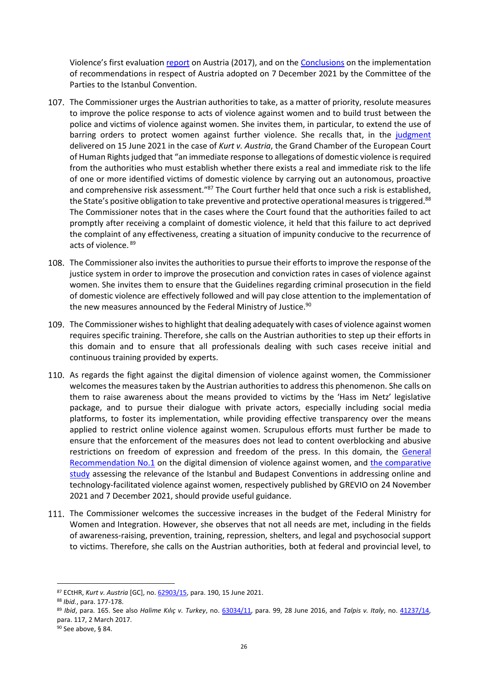Violence's first evaluation [report](http://rm.coe.int/grevio-report-austria-1st-evaluation/1680759619) on Austria (2017), and on the [Conclusions](https://rm.coe.int/ic-cp-inf-2021-5-cop-conclusions-austria-eng/1680a4cc48) on the implementation of recommendations in respect of Austria adopted on 7 December 2021 by the Committee of the Parties to the Istanbul Convention.

- 107. The Commissioner urges the Austrian authorities to take, as a matter of priority, resolute measures to improve the police response to acts of violence against women and to build trust between the police and victims of violence against women. She invites them, in particular, to extend the use of barring orders to protect women against further violence. She recalls that, in the [judgment](https://hudoc.echr.coe.int/eng#{%22appno%22:[%2262903/15%22]}) delivered on 15 June 2021 in the case of *Kurt v. Austria*, the Grand Chamber of the European Court of Human Rights judged that "an immediate response to allegations of domestic violence is required from the authorities who must establish whether there exists a real and immediate risk to the life of one or more identified victims of domestic violence by carrying out an autonomous, proactive and comprehensive risk assessment."<sup>87</sup> The Court further held that once such a risk is established, the State's positive obligation to take preventive and protective operational measures is triggered.<sup>88</sup> The Commissioner notes that in the cases where the Court found that the authorities failed to act promptly after receiving a complaint of domestic violence, it held that this failure to act deprived the complaint of any effectiveness, creating a situation of impunity conducive to the recurrence of acts of violence. <sup>89</sup>
- The Commissioner also invites the authorities to pursue their efforts to improve the response of the justice system in order to improve the prosecution and conviction rates in cases of violence against women. She invites them to ensure that the Guidelines regarding criminal prosecution in the field of domestic violence are effectively followed and will pay close attention to the implementation of the new measures announced by the Federal Ministry of Justice. $90$
- 109. The Commissioner wishes to highlight that dealing adequately with cases of violence against women requires specific training. Therefore, she calls on the Austrian authorities to step up their efforts in this domain and to ensure that all professionals dealing with such cases receive initial and continuous training provided by experts.
- 110. As regards the fight against the digital dimension of violence against women, the Commissioner welcomes the measures taken by the Austrian authorities to address this phenomenon. She calls on them to raise awareness about the means provided to victims by the 'Hass im Netz' legislative package, and to pursue their dialogue with private actors, especially including social media platforms, to foster its implementation, while providing effective transparency over the means applied to restrict online violence against women. Scrupulous efforts must further be made to ensure that the enforcement of the measures does not lead to content overblocking and abusive restrictions on freedom of expression and freedom of the press. In this domain, the General [Recommendation No.1](https://rm.coe.int/grevio-rec-no-on-digital-violence-against-women/1680a49147) on the digital dimension of violence against women, and [the comparative](https://rm.coe.int/prems-153621-gbr-2574-study-online-a4-bat-web/1680a4cc44)  [study](https://rm.coe.int/prems-153621-gbr-2574-study-online-a4-bat-web/1680a4cc44) assessing the relevance of the Istanbul and Budapest Conventions in addressing online and technology-facilitated violence against women, respectively published by GREVIO on 24 November 2021 and 7 December 2021, should provide useful guidance.
- 111. The Commissioner welcomes the successive increases in the budget of the Federal Ministry for Women and Integration. However, she observes that not all needs are met, including in the fields of awareness-raising, prevention, training, repression, shelters, and legal and psychosocial support to victims. Therefore, she calls on the Austrian authorities, both at federal and provincial level, to

l

<sup>87</sup> ECtHR, *Kurt v. Austria* [GC], no[. 62903/15,](https://hudoc.echr.coe.int/eng#{%22appno%22:[%2262903/15%22]}) para. 190, 15 June 2021.

<sup>88</sup> *Ibid.*, para. 177-178.

<sup>89</sup> *Ibid*, para. 165. See also *Halime Kılıç v. Turkey*, no. [63034/11,](https://hudoc.echr.coe.int/eng#{%22appno%22:[%2263034/11%22]}) para. 99, 28 June 2016, and *Talpis v. Italy*, no. [41237/14,](https://hudoc.echr.coe.int/eng#{%22appno%22:[%2241237/14%22]})  para. 117, 2 March 2017.

<sup>90</sup> See above, § [84.](#page-20-1)